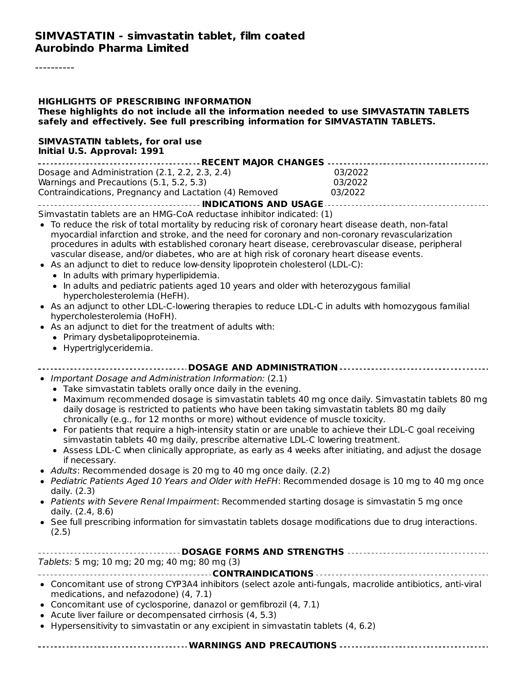----------

| <b>HIGHLIGHTS OF PRESCRIBING INFORMATION</b><br>These highlights do not include all the information needed to use SIMVASTATIN TABLETS<br>safely and effectively. See full prescribing information for SIMVASTATIN TABLETS.                                                                                                                                                                                                                                                                                                                                                                                                                                                                                                                                                                                                                                                                                                                                                                                                                                                                                                                                                   |         |
|------------------------------------------------------------------------------------------------------------------------------------------------------------------------------------------------------------------------------------------------------------------------------------------------------------------------------------------------------------------------------------------------------------------------------------------------------------------------------------------------------------------------------------------------------------------------------------------------------------------------------------------------------------------------------------------------------------------------------------------------------------------------------------------------------------------------------------------------------------------------------------------------------------------------------------------------------------------------------------------------------------------------------------------------------------------------------------------------------------------------------------------------------------------------------|---------|
| SIMVASTATIN tablets, for oral use<br>Initial U.S. Approval: 1991                                                                                                                                                                                                                                                                                                                                                                                                                                                                                                                                                                                                                                                                                                                                                                                                                                                                                                                                                                                                                                                                                                             |         |
|                                                                                                                                                                                                                                                                                                                                                                                                                                                                                                                                                                                                                                                                                                                                                                                                                                                                                                                                                                                                                                                                                                                                                                              |         |
| Dosage and Administration (2.1, 2.2, 2.3, 2.4)                                                                                                                                                                                                                                                                                                                                                                                                                                                                                                                                                                                                                                                                                                                                                                                                                                                                                                                                                                                                                                                                                                                               | 03/2022 |
| Warnings and Precautions (5.1, 5.2, 5.3)                                                                                                                                                                                                                                                                                                                                                                                                                                                                                                                                                                                                                                                                                                                                                                                                                                                                                                                                                                                                                                                                                                                                     | 03/2022 |
| Contraindications, Pregnancy and Lactation (4) Removed                                                                                                                                                                                                                                                                                                                                                                                                                                                                                                                                                                                                                                                                                                                                                                                                                                                                                                                                                                                                                                                                                                                       | 03/2022 |
|                                                                                                                                                                                                                                                                                                                                                                                                                                                                                                                                                                                                                                                                                                                                                                                                                                                                                                                                                                                                                                                                                                                                                                              |         |
| Simvastatin tablets are an HMG-CoA reductase inhibitor indicated: (1)<br>• To reduce the risk of total mortality by reducing risk of coronary heart disease death, non-fatal<br>myocardial infarction and stroke, and the need for coronary and non-coronary revascularization<br>procedures in adults with established coronary heart disease, cerebrovascular disease, peripheral<br>vascular disease, and/or diabetes, who are at high risk of coronary heart disease events.<br>• As an adjunct to diet to reduce low-density lipoprotein cholesterol (LDL-C):<br>• In adults with primary hyperlipidemia.<br>• In adults and pediatric patients aged 10 years and older with heterozygous familial<br>hypercholesterolemia (HeFH).<br>• As an adjunct to other LDL-C-lowering therapies to reduce LDL-C in adults with homozygous familial<br>hypercholesterolemia (HoFH).<br>• As an adjunct to diet for the treatment of adults with:                                                                                                                                                                                                                                 |         |
| • Primary dysbetalipoproteinemia.<br>• Hypertriglyceridemia.                                                                                                                                                                                                                                                                                                                                                                                                                                                                                                                                                                                                                                                                                                                                                                                                                                                                                                                                                                                                                                                                                                                 |         |
| -------------------------------- DOSAGE AND ADMINISTRATION --------------------------------                                                                                                                                                                                                                                                                                                                                                                                                                                                                                                                                                                                                                                                                                                                                                                                                                                                                                                                                                                                                                                                                                  |         |
| • Important Dosage and Administration Information: (2.1)<br>• Take simvastatin tablets orally once daily in the evening.<br>• Maximum recommended dosage is simvastatin tablets 40 mg once daily. Simvastatin tablets 80 mg<br>daily dosage is restricted to patients who have been taking simvastatin tablets 80 mg daily<br>chronically (e.g., for 12 months or more) without evidence of muscle toxicity.<br>• For patients that require a high-intensity statin or are unable to achieve their LDL-C goal receiving<br>simvastatin tablets 40 mg daily, prescribe alternative LDL-C lowering treatment.<br>• Assess LDL-C when clinically appropriate, as early as 4 weeks after initiating, and adjust the dosage<br>if necessary.<br>• Adults: Recommended dosage is 20 mg to 40 mg once daily. (2.2)<br>• Pediatric Patients Aged 10 Years and Older with HeFH: Recommended dosage is 10 mg to 40 mg once<br>daily. (2.3)<br>• Patients with Severe Renal Impairment: Recommended starting dosage is simvastatin 5 mg once<br>daily. (2.4, 8.6)<br>• See full prescribing information for simvastatin tablets dosage modifications due to drug interactions.<br>(2.5) |         |
| Tablets: 5 mg; 10 mg; 20 mg; 40 mg; 80 mg (3)                                                                                                                                                                                                                                                                                                                                                                                                                                                                                                                                                                                                                                                                                                                                                                                                                                                                                                                                                                                                                                                                                                                                |         |
|                                                                                                                                                                                                                                                                                                                                                                                                                                                                                                                                                                                                                                                                                                                                                                                                                                                                                                                                                                                                                                                                                                                                                                              |         |
| • Concomitant use of strong CYP3A4 inhibitors (select azole anti-fungals, macrolide antibiotics, anti-viral<br>medications, and nefazodone) (4, 7.1)<br>• Concomitant use of cyclosporine, danazol or gemfibrozil (4, 7.1)<br>• Acute liver failure or decompensated cirrhosis (4, 5.3)<br>• Hypersensitivity to simvastatin or any excipient in simvastatin tablets (4, 6.2)                                                                                                                                                                                                                                                                                                                                                                                                                                                                                                                                                                                                                                                                                                                                                                                                |         |
|                                                                                                                                                                                                                                                                                                                                                                                                                                                                                                                                                                                                                                                                                                                                                                                                                                                                                                                                                                                                                                                                                                                                                                              |         |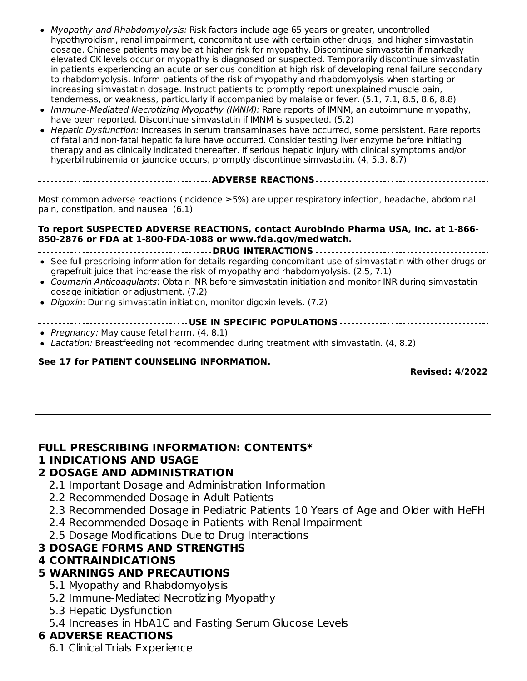- Myopathy and Rhabdomyolysis: Risk factors include age 65 years or greater, uncontrolled hypothyroidism, renal impairment, concomitant use with certain other drugs, and higher simvastatin dosage. Chinese patients may be at higher risk for myopathy. Discontinue simvastatin if markedly elevated CK levels occur or myopathy is diagnosed or suspected. Temporarily discontinue simvastatin in patients experiencing an acute or serious condition at high risk of developing renal failure secondary to rhabdomyolysis. Inform patients of the risk of myopathy and rhabdomyolysis when starting or increasing simvastatin dosage. Instruct patients to promptly report unexplained muscle pain, tenderness, or weakness, particularly if accompanied by malaise or fever. (5.1, 7.1, 8.5, 8.6, 8.8)
- Immune-Mediated Necrotizing Myopathy (IMNM): Rare reports of IMNM, an autoimmune myopathy, have been reported. Discontinue simvastatin if IMNM is suspected. (5.2)
- Hepatic Dysfunction: Increases in serum transaminases have occurred, some persistent. Rare reports of fatal and non-fatal hepatic failure have occurred. Consider testing liver enzyme before initiating therapy and as clinically indicated thereafter. If serious hepatic injury with clinical symptoms and/or hyperbilirubinemia or jaundice occurs, promptly discontinue simvastatin. (4, 5.3, 8.7)

#### **ADVERSE REACTIONS**

Most common adverse reactions (incidence ≥5%) are upper respiratory infection, headache, abdominal pain, constipation, and nausea. (6.1)

#### **To report SUSPECTED ADVERSE REACTIONS, contact Aurobindo Pharma USA, Inc. at 1-866- 850-2876 or FDA at 1-800-FDA-1088 or www.fda.gov/medwatch.**

- **DRUG INTERACTIONS**
- See full prescribing information for details regarding concomitant use of simvastatin with other drugs or grapefruit juice that increase the risk of myopathy and rhabdomyolysis. (2.5, 7.1)
- Coumarin Anticoagulants: Obtain INR before simvastatin initiation and monitor INR during simvastatin  $\bullet$ dosage initiation or adjustment. (7.2)
- Digoxin: During simvastatin initiation, monitor digoxin levels. (7.2)
- **USE IN SPECIFIC POPULATIONS**
- Pregnancy: May cause fetal harm. (4, 8.1)
- Lactation: Breastfeeding not recommended during treatment with simvastatin. (4, 8.2)

#### **See 17 for PATIENT COUNSELING INFORMATION.**

#### **Revised: 4/2022**

#### **FULL PRESCRIBING INFORMATION: CONTENTS\***

#### **1 INDICATIONS AND USAGE**

#### **2 DOSAGE AND ADMINISTRATION**

- 2.1 Important Dosage and Administration Information
- 2.2 Recommended Dosage in Adult Patients
- 2.3 Recommended Dosage in Pediatric Patients 10 Years of Age and Older with HeFH
- 2.4 Recommended Dosage in Patients with Renal Impairment
- 2.5 Dosage Modifications Due to Drug Interactions

### **3 DOSAGE FORMS AND STRENGTHS**

#### **4 CONTRAINDICATIONS**

#### **5 WARNINGS AND PRECAUTIONS**

- 5.1 Myopathy and Rhabdomyolysis
- 5.2 Immune-Mediated Necrotizing Myopathy
- 5.3 Hepatic Dysfunction
- 5.4 Increases in HbA1C and Fasting Serum Glucose Levels

### **6 ADVERSE REACTIONS**

6.1 Clinical Trials Experience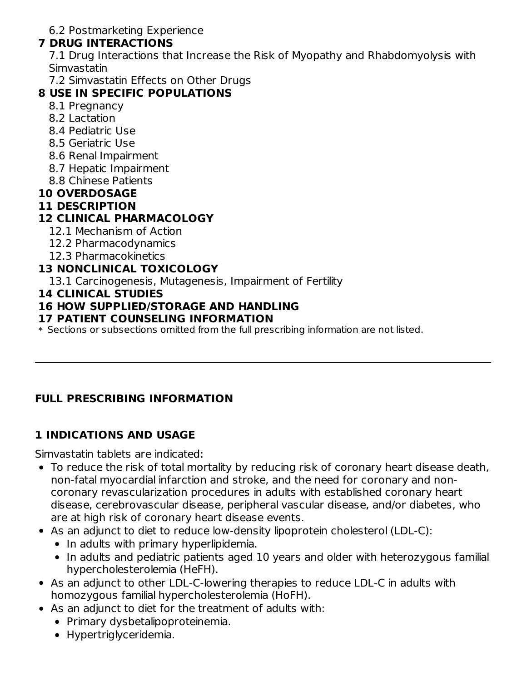6.2 Postmarketing Experience

### **7 DRUG INTERACTIONS**

7.1 Drug Interactions that Increase the Risk of Myopathy and Rhabdomyolysis with **Simvastatin** 

7.2 Simvastatin Effects on Other Drugs

## **8 USE IN SPECIFIC POPULATIONS**

- 8.1 Pregnancy
- 8.2 Lactation
- 8.4 Pediatric Use
- 8.5 Geriatric Use
- 8.6 Renal Impairment
- 8.7 Hepatic Impairment
- 8.8 Chinese Patients

### **10 OVERDOSAGE**

### **11 DESCRIPTION**

### **12 CLINICAL PHARMACOLOGY**

- 12.1 Mechanism of Action
- 12.2 Pharmacodynamics
- 12.3 Pharmacokinetics

### **13 NONCLINICAL TOXICOLOGY**

13.1 Carcinogenesis, Mutagenesis, Impairment of Fertility

### **14 CLINICAL STUDIES**

### **16 HOW SUPPLIED/STORAGE AND HANDLING**

### **17 PATIENT COUNSELING INFORMATION**

 $\ast$  Sections or subsections omitted from the full prescribing information are not listed.

## **FULL PRESCRIBING INFORMATION**

## **1 INDICATIONS AND USAGE**

Simvastatin tablets are indicated:

- To reduce the risk of total mortality by reducing risk of coronary heart disease death, non-fatal myocardial infarction and stroke, and the need for coronary and noncoronary revascularization procedures in adults with established coronary heart disease, cerebrovascular disease, peripheral vascular disease, and/or diabetes, who are at high risk of coronary heart disease events.
- As an adjunct to diet to reduce low-density lipoprotein cholesterol (LDL-C):
	- In adults with primary hyperlipidemia.
	- In adults and pediatric patients aged 10 years and older with heterozygous familial hypercholesterolemia (HeFH).
- As an adjunct to other LDL-C-lowering therapies to reduce LDL-C in adults with homozygous familial hypercholesterolemia (HoFH).
- As an adjunct to diet for the treatment of adults with:
	- Primary dysbetalipoproteinemia.
	- Hypertriglyceridemia.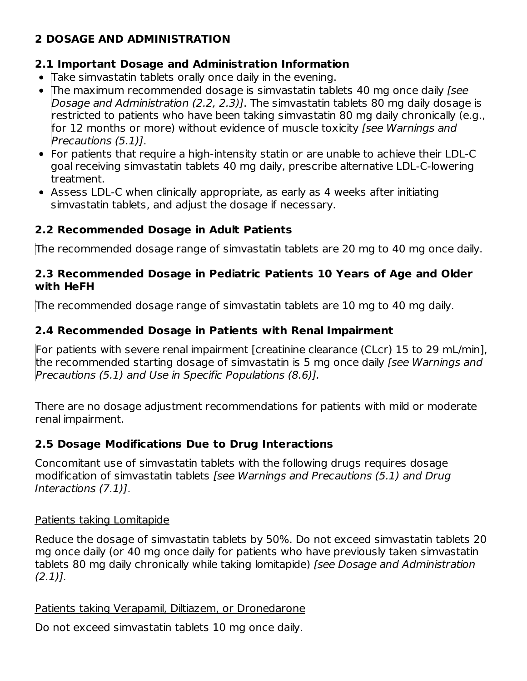# **2 DOSAGE AND ADMINISTRATION**

# **2.1 Important Dosage and Administration Information**

- Take simvastatin tablets orally once daily in the evening.
- The maximum recommended dosage is simvastatin tablets 40 mg once daily *Isee* Dosage and Administration (2.2, 2.3)]. The simvastatin tablets 80 mg daily dosage is restricted to patients who have been taking simvastatin 80 mg daily chronically (e.g., for 12 months or more) without evidence of muscle toxicity [see Warnings and Precautions (5.1)].
- For patients that require a high-intensity statin or are unable to achieve their LDL-C goal receiving simvastatin tablets 40 mg daily, prescribe alternative LDL-C-lowering treatment.
- Assess LDL-C when clinically appropriate, as early as 4 weeks after initiating simvastatin tablets, and adjust the dosage if necessary.

# **2.2 Recommended Dosage in Adult Patients**

The recommended dosage range of simvastatin tablets are 20 mg to 40 mg once daily.

### **2.3 Recommended Dosage in Pediatric Patients 10 Years of Age and Older with HeFH**

The recommended dosage range of simvastatin tablets are 10 mg to 40 mg daily.

# **2.4 Recommended Dosage in Patients with Renal Impairment**

For patients with severe renal impairment [creatinine clearance (CLcr) 15 to 29 mL/min], the recommended starting dosage of simvastatin is 5 mg once daily *[see Warnings and* Precautions (5.1) and Use in Specific Populations (8.6)].

There are no dosage adjustment recommendations for patients with mild or moderate renal impairment.

# **2.5 Dosage Modifications Due to Drug Interactions**

Concomitant use of simvastatin tablets with the following drugs requires dosage modification of simvastatin tablets [see Warnings and Precautions (5.1) and Drug Interactions (7.1)].

## Patients taking Lomitapide

Reduce the dosage of simvastatin tablets by 50%. Do not exceed simvastatin tablets 20 mg once daily (or 40 mg once daily for patients who have previously taken simvastatin tablets 80 mg daily chronically while taking lomitapide) [see Dosage and Administration  $(2.1)$ ].

Patients taking Verapamil, Diltiazem, or Dronedarone

Do not exceed simvastatin tablets 10 mg once daily.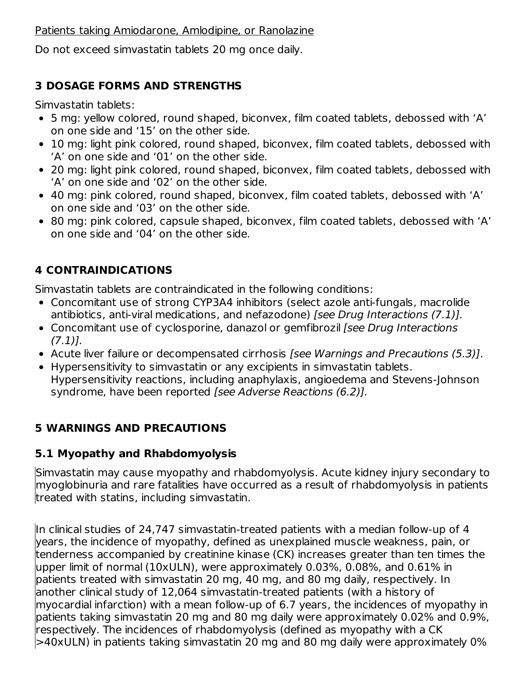Patients taking Amiodarone, Amlodipine, or Ranolazine

Do not exceed simvastatin tablets 20 mg once daily.

# **3 DOSAGE FORMS AND STRENGTHS**

Simvastatin tablets:

- 5 mg: yellow colored, round shaped, biconvex, film coated tablets, debossed with 'A' on one side and '15' on the other side.
- 10 mg: light pink colored, round shaped, biconvex, film coated tablets, debossed with 'A' on one side and '01' on the other side.
- 20 mg: light pink colored, round shaped, biconvex, film coated tablets, debossed with 'A' on one side and '02' on the other side.
- 40 mg: pink colored, round shaped, biconvex, film coated tablets, debossed with 'A' on one side and '03' on the other side.
- 80 mg: pink colored, capsule shaped, biconvex, film coated tablets, debossed with 'A' on one side and '04' on the other side.

# **4 CONTRAINDICATIONS**

Simvastatin tablets are contraindicated in the following conditions:

- Concomitant use of strong CYP3A4 inhibitors (select azole anti-fungals, macrolide antibiotics, anti-viral medications, and nefazodone) [see Drug Interactions (7.1)].
- Concomitant use of cyclosporine, danazol or gemfibrozil [see Drug Interactions  $(7.1)$ ].
- Acute liver failure or decompensated cirrhosis [see Warnings and Precautions (5.3)].
- Hypersensitivity to simvastatin or any excipients in simvastatin tablets. Hypersensitivity reactions, including anaphylaxis, angioedema and Stevens-Johnson syndrome, have been reported [see Adverse Reactions (6.2)].

# **5 WARNINGS AND PRECAUTIONS**

# **5.1 Myopathy and Rhabdomyolysis**

Simvastatin may cause myopathy and rhabdomyolysis. Acute kidney injury secondary to myoglobinuria and rare fatalities have occurred as a result of rhabdomyolysis in patients treated with statins, including simvastatin.

In clinical studies of 24,747 simvastatin-treated patients with a median follow-up of 4 years, the incidence of myopathy, defined as unexplained muscle weakness, pain, or tenderness accompanied by creatinine kinase (CK) increases greater than ten times the upper limit of normal (10xULN), were approximately 0.03%, 0.08%, and 0.61% in patients treated with simvastatin 20 mg, 40 mg, and 80 mg daily, respectively. In another clinical study of 12,064 simvastatin-treated patients (with a history of myocardial infarction) with a mean follow-up of 6.7 years, the incidences of myopathy in patients taking simvastatin 20 mg and 80 mg daily were approximately 0.02% and 0.9%, respectively. The incidences of rhabdomyolysis (defined as myopathy with a CK >40xULN) in patients taking simvastatin 20 mg and 80 mg daily were approximately 0%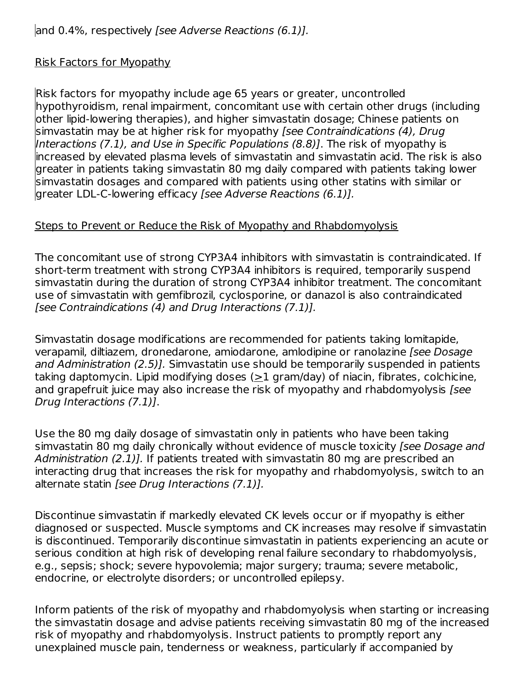## Risk Factors for Myopathy

Risk factors for myopathy include age 65 years or greater, uncontrolled hypothyroidism, renal impairment, concomitant use with certain other drugs (including other lipid-lowering therapies), and higher simvastatin dosage; Chinese patients on simvastatin may be at higher risk for myopathy [see Contraindications (4), Drug Interactions (7.1), and Use in Specific Populations (8.8)]. The risk of myopathy is increased by elevated plasma levels of simvastatin and simvastatin acid. The risk is also greater in patients taking simvastatin 80 mg daily compared with patients taking lower simvastatin dosages and compared with patients using other statins with similar or greater LDL-C-lowering efficacy [see Adverse Reactions (6.1)].

### Steps to Prevent or Reduce the Risk of Myopathy and Rhabdomyolysis

The concomitant use of strong CYP3A4 inhibitors with simvastatin is contraindicated. If short-term treatment with strong CYP3A4 inhibitors is required, temporarily suspend simvastatin during the duration of strong CYP3A4 inhibitor treatment. The concomitant use of simvastatin with gemfibrozil, cyclosporine, or danazol is also contraindicated [see Contraindications (4) and Drug Interactions (7.1)].

Simvastatin dosage modifications are recommended for patients taking lomitapide, verapamil, diltiazem, dronedarone, amiodarone, amlodipine or ranolazine [see Dosage and Administration (2.5)]. Simvastatin use should be temporarily suspended in patients taking daptomycin. Lipid modifying doses  $(21 \text{ gram/day})$  of niacin, fibrates, colchicine, and grapefruit juice may also increase the risk of myopathy and rhabdomyolysis [see Drug Interactions (7.1)].

Use the 80 mg daily dosage of simvastatin only in patients who have been taking simvastatin 80 mg daily chronically without evidence of muscle toxicity [see Dosage and Administration (2.1)]. If patients treated with simvastatin 80 mg are prescribed an interacting drug that increases the risk for myopathy and rhabdomyolysis, switch to an alternate statin [see Drug Interactions (7.1)].

Discontinue simvastatin if markedly elevated CK levels occur or if myopathy is either diagnosed or suspected. Muscle symptoms and CK increases may resolve if simvastatin is discontinued. Temporarily discontinue simvastatin in patients experiencing an acute or serious condition at high risk of developing renal failure secondary to rhabdomyolysis, e.g., sepsis; shock; severe hypovolemia; major surgery; trauma; severe metabolic, endocrine, or electrolyte disorders; or uncontrolled epilepsy.

Inform patients of the risk of myopathy and rhabdomyolysis when starting or increasing the simvastatin dosage and advise patients receiving simvastatin 80 mg of the increased risk of myopathy and rhabdomyolysis. Instruct patients to promptly report any unexplained muscle pain, tenderness or weakness, particularly if accompanied by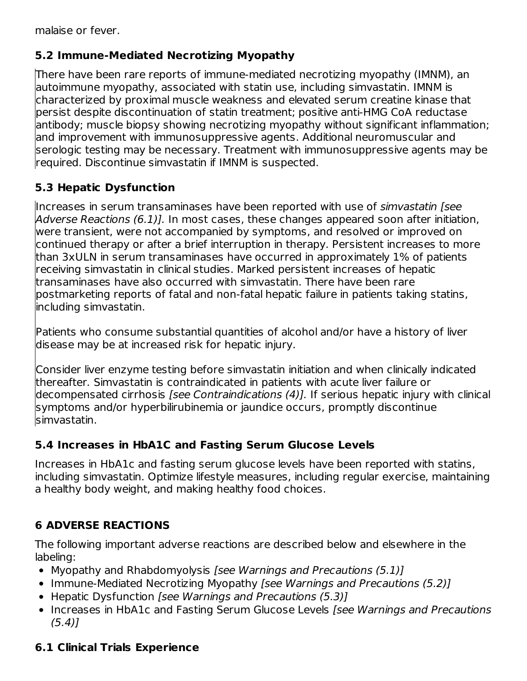malaise or fever.

# **5.2 Immune-Mediated Necrotizing Myopathy**

There have been rare reports of immune-mediated necrotizing myopathy (IMNM), an autoimmune myopathy, associated with statin use, including simvastatin. IMNM is characterized by proximal muscle weakness and elevated serum creatine kinase that persist despite discontinuation of statin treatment; positive anti-HMG CoA reductase antibody; muscle biopsy showing necrotizing myopathy without significant inflammation; and improvement with immunosuppressive agents. Additional neuromuscular and serologic testing may be necessary. Treatment with immunosuppressive agents may be required. Discontinue simvastatin if IMNM is suspected.

# **5.3 Hepatic Dysfunction**

Increases in serum transaminases have been reported with use of simvastatin [see Adverse Reactions (6.1)1. In most cases, these changes appeared soon after initiation, were transient, were not accompanied by symptoms, and resolved or improved on continued therapy or after a brief interruption in therapy. Persistent increases to more than 3xULN in serum transaminases have occurred in approximately 1% of patients receiving simvastatin in clinical studies. Marked persistent increases of hepatic transaminases have also occurred with simvastatin. There have been rare postmarketing reports of fatal and non-fatal hepatic failure in patients taking statins, including simvastatin.

Patients who consume substantial quantities of alcohol and/or have a history of liver disease may be at increased risk for hepatic injury.

Consider liver enzyme testing before simvastatin initiation and when clinically indicated thereafter. Simvastatin is contraindicated in patients with acute liver failure or decompensated cirrhosis [see Contraindications (4)]. If serious hepatic injury with clinical symptoms and/or hyperbilirubinemia or jaundice occurs, promptly discontinue simvastatin.

## **5.4 Increases in HbA1C and Fasting Serum Glucose Levels**

Increases in HbA1c and fasting serum glucose levels have been reported with statins, including simvastatin. Optimize lifestyle measures, including regular exercise, maintaining a healthy body weight, and making healthy food choices.

# **6 ADVERSE REACTIONS**

The following important adverse reactions are described below and elsewhere in the labeling:

- Myopathy and Rhabdomyolysis [see Warnings and Precautions (5.1)]
- Immune-Mediated Necrotizing Myopathy [see Warnings and Precautions (5.2)]
- Hepatic Dysfunction [see Warnings and Precautions (5.3)]
- Increases in HbA1c and Fasting Serum Glucose Levels [see Warnings and Precautions (5.4)]

# **6.1 Clinical Trials Experience**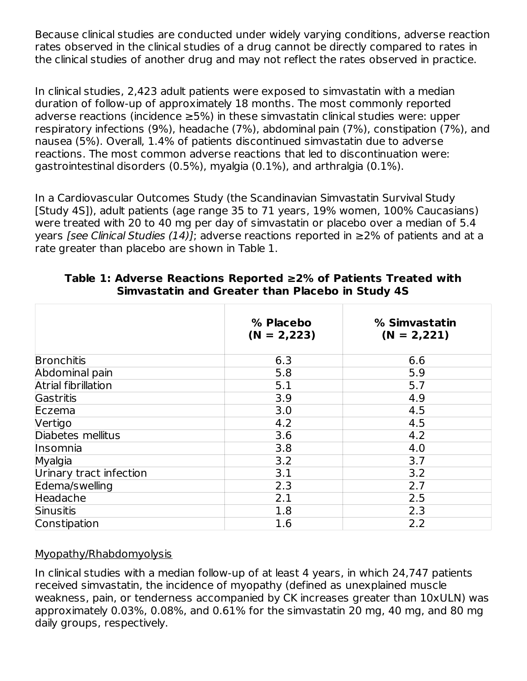Because clinical studies are conducted under widely varying conditions, adverse reaction rates observed in the clinical studies of a drug cannot be directly compared to rates in the clinical studies of another drug and may not reflect the rates observed in practice.

In clinical studies, 2,423 adult patients were exposed to simvastatin with a median duration of follow-up of approximately 18 months. The most commonly reported adverse reactions (incidence ≥5%) in these simvastatin clinical studies were: upper respiratory infections (9%), headache (7%), abdominal pain (7%), constipation (7%), and nausea (5%). Overall, 1.4% of patients discontinued simvastatin due to adverse reactions. The most common adverse reactions that led to discontinuation were: gastrointestinal disorders (0.5%), myalgia (0.1%), and arthralgia (0.1%).

In a Cardiovascular Outcomes Study (the Scandinavian Simvastatin Survival Study [Study 4S]), adult patients (age range 35 to 71 years, 19% women, 100% Caucasians) were treated with 20 to 40 mg per day of simvastatin or placebo over a median of 5.4 years [see Clinical Studies (14)]; adverse reactions reported in ≥2% of patients and at a rate greater than placebo are shown in Table 1.

|                            | % Placebo<br>$(N = 2,223)$ | % Simvastatin<br>$(N = 2,221)$ |
|----------------------------|----------------------------|--------------------------------|
| <b>Bronchitis</b>          | 6.3                        | 6.6                            |
| Abdominal pain             | 5.8                        | 5.9                            |
| <b>Atrial fibrillation</b> | 5.1                        | 5.7                            |
| Gastritis                  | 3.9                        | 4.9                            |
| Eczema                     | 3.0                        | 4.5                            |
| Vertigo                    | 4.2                        | 4.5                            |
| Diabetes mellitus          | 3.6                        | 4.2                            |
| Insomnia                   | 3.8                        | 4.0                            |
| Myalgia                    | 3.2                        | 3.7                            |
| Urinary tract infection    | 3.1                        | 3.2                            |
| Edema/swelling             | 2.3                        | 2.7                            |
| Headache                   | 2.1                        | 2.5                            |
| <b>Sinusitis</b>           | 1.8                        | 2.3                            |
| Constipation               | 1.6                        | 2.2                            |

### **Table 1: Adverse Reactions Reported ≥2% of Patients Treated with Simvastatin and Greater than Placebo in Study 4S**

## Myopathy/Rhabdomyolysis

In clinical studies with a median follow-up of at least 4 years, in which 24,747 patients received simvastatin, the incidence of myopathy (defined as unexplained muscle weakness, pain, or tenderness accompanied by CK increases greater than 10xULN) was approximately 0.03%, 0.08%, and 0.61% for the simvastatin 20 mg, 40 mg, and 80 mg daily groups, respectively.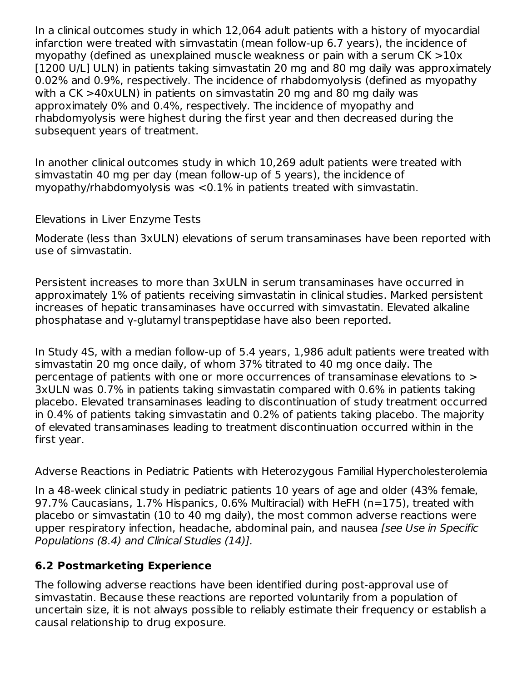In a clinical outcomes study in which 12,064 adult patients with a history of myocardial infarction were treated with simvastatin (mean follow-up 6.7 years), the incidence of myopathy (defined as unexplained muscle weakness or pain with a serum CK >10x [1200 U/L] ULN) in patients taking simvastatin 20 mg and 80 mg daily was approximately 0.02% and 0.9%, respectively. The incidence of rhabdomyolysis (defined as myopathy with a CK >40xULN) in patients on simvastatin 20 mg and 80 mg daily was approximately 0% and 0.4%, respectively. The incidence of myopathy and rhabdomyolysis were highest during the first year and then decreased during the subsequent years of treatment.

In another clinical outcomes study in which 10,269 adult patients were treated with simvastatin 40 mg per day (mean follow-up of 5 years), the incidence of myopathy/rhabdomyolysis was <0.1% in patients treated with simvastatin.

### Elevations in Liver Enzyme Tests

Moderate (less than 3xULN) elevations of serum transaminases have been reported with use of simvastatin.

Persistent increases to more than 3xULN in serum transaminases have occurred in approximately 1% of patients receiving simvastatin in clinical studies. Marked persistent increases of hepatic transaminases have occurred with simvastatin. Elevated alkaline phosphatase and γ-glutamyl transpeptidase have also been reported.

In Study 4S, with a median follow-up of 5.4 years, 1,986 adult patients were treated with simvastatin 20 mg once daily, of whom 37% titrated to 40 mg once daily. The percentage of patients with one or more occurrences of transaminase elevations to > 3xULN was 0.7% in patients taking simvastatin compared with 0.6% in patients taking placebo. Elevated transaminases leading to discontinuation of study treatment occurred in 0.4% of patients taking simvastatin and 0.2% of patients taking placebo. The majority of elevated transaminases leading to treatment discontinuation occurred within in the first year.

## Adverse Reactions in Pediatric Patients with Heterozygous Familial Hypercholesterolemia

In a 48-week clinical study in pediatric patients 10 years of age and older (43% female, 97.7% Caucasians, 1.7% Hispanics, 0.6% Multiracial) with HeFH (n=175), treated with placebo or simvastatin (10 to 40 mg daily), the most common adverse reactions were upper respiratory infection, headache, abdominal pain, and nausea [see Use in Specific Populations (8.4) and Clinical Studies (14)].

# **6.2 Postmarketing Experience**

The following adverse reactions have been identified during post-approval use of simvastatin. Because these reactions are reported voluntarily from a population of uncertain size, it is not always possible to reliably estimate their frequency or establish a causal relationship to drug exposure.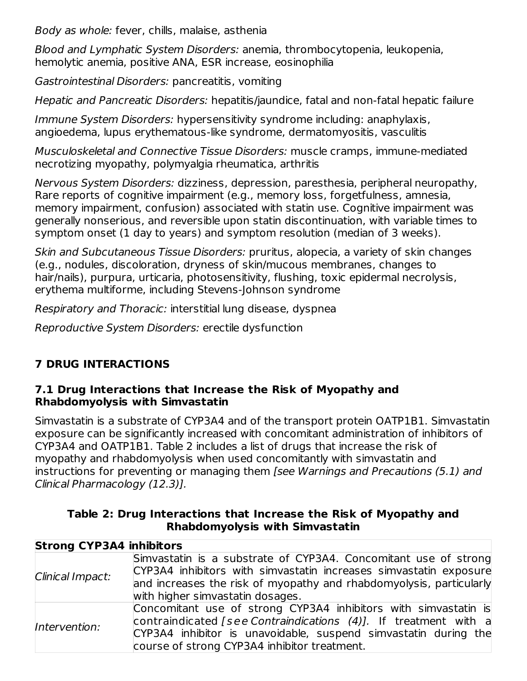Body as whole: fever, chills, malaise, asthenia

Blood and Lymphatic System Disorders: anemia, thrombocytopenia, leukopenia, hemolytic anemia, positive ANA, ESR increase, eosinophilia

Gastrointestinal Disorders: pancreatitis, vomiting

Hepatic and Pancreatic Disorders: hepatitis/jaundice, fatal and non-fatal hepatic failure

Immune System Disorders: hypersensitivity syndrome including: anaphylaxis, angioedema, lupus erythematous-like syndrome, dermatomyositis, vasculitis

Musculoskeletal and Connective Tissue Disorders: muscle cramps, immune-mediated necrotizing myopathy, polymyalgia rheumatica, arthritis

Nervous System Disorders: dizziness, depression, paresthesia, peripheral neuropathy, Rare reports of cognitive impairment (e.g., memory loss, forgetfulness, amnesia, memory impairment, confusion) associated with statin use. Cognitive impairment was generally nonserious, and reversible upon statin discontinuation, with variable times to symptom onset (1 day to years) and symptom resolution (median of 3 weeks).

Skin and Subcutaneous Tissue Disorders: pruritus, alopecia, a variety of skin changes (e.g., nodules, discoloration, dryness of skin/mucous membranes, changes to hair/nails), purpura, urticaria, photosensitivity, flushing, toxic epidermal necrolysis, erythema multiforme, including Stevens-Johnson syndrome

Respiratory and Thoracic: interstitial lung disease, dyspnea

Reproductive System Disorders: erectile dysfunction

# **7 DRUG INTERACTIONS**

### **7.1 Drug Interactions that Increase the Risk of Myopathy and Rhabdomyolysis with Simvastatin**

Simvastatin is a substrate of CYP3A4 and of the transport protein OATP1B1. Simvastatin exposure can be significantly increased with concomitant administration of inhibitors of CYP3A4 and OATP1B1. Table 2 includes a list of drugs that increase the risk of myopathy and rhabdomyolysis when used concomitantly with simvastatin and instructions for preventing or managing them [see Warnings and Precautions (5.1) and Clinical Pharmacology (12.3)].

| <b>Strong CYP3A4 inhibitors</b> |                                                                                                                                                                                                                                                           |
|---------------------------------|-----------------------------------------------------------------------------------------------------------------------------------------------------------------------------------------------------------------------------------------------------------|
|                                 | Simvastatin is a substrate of CYP3A4. Concomitant use of strong<br>CYP3A4 inhibitors with simvastatin increases simvastatin exposure                                                                                                                      |
| Clinical Impact:                | and increases the risk of myopathy and rhabdomyolysis, particularly<br>with higher simvastatin dosages.                                                                                                                                                   |
| Intervention:                   | Concomitant use of strong CYP3A4 inhibitors with simvastatin is<br>contraindicated [see Contraindications $(4)$ ]. If treatment with a<br>CYP3A4 inhibitor is unavoidable, suspend simvastatin during the<br>course of strong CYP3A4 inhibitor treatment. |

### **Table 2: Drug Interactions that Increase the Risk of Myopathy and Rhabdomyolysis with Simvastatin**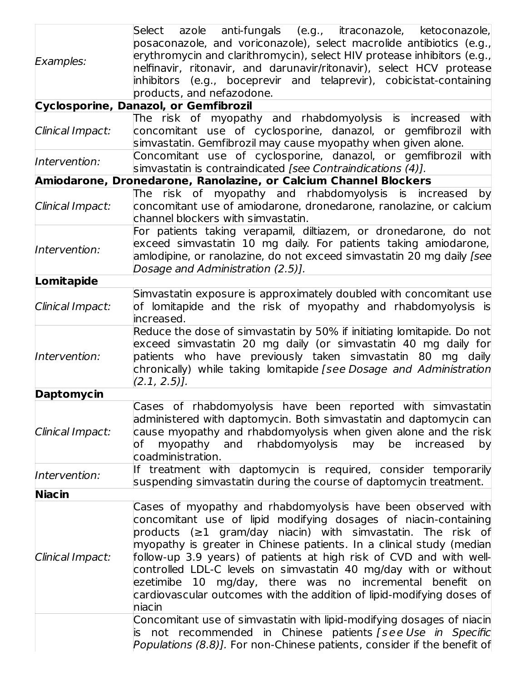|                   | Select azole anti-fungals (e.g., itraconazole, ketoconazole,             |  |  |  |  |  |
|-------------------|--------------------------------------------------------------------------|--|--|--|--|--|
|                   | posaconazole, and voriconazole), select macrolide antibiotics (e.g.,     |  |  |  |  |  |
|                   | erythromycin and clarithromycin), select HIV protease inhibitors (e.g.,  |  |  |  |  |  |
| Examples:         | nelfinavir, ritonavir, and darunavir/ritonavir), select HCV protease     |  |  |  |  |  |
|                   | inhibitors (e.g., boceprevir and telaprevir), cobicistat-containing      |  |  |  |  |  |
|                   | products, and nefazodone.                                                |  |  |  |  |  |
|                   | Cyclosporine, Danazol, or Gemfibrozil                                    |  |  |  |  |  |
|                   | The risk of myopathy and rhabdomyolysis is increased<br>with             |  |  |  |  |  |
| Clinical Impact:  | concomitant use of cyclosporine, danazol, or gemfibrozil<br>with         |  |  |  |  |  |
|                   | simvastatin. Gemfibrozil may cause myopathy when given alone.            |  |  |  |  |  |
|                   | Concomitant use of cyclosporine, danazol, or gemfibrozil<br>with         |  |  |  |  |  |
| Intervention:     | simvastatin is contraindicated [see Contraindications (4)].              |  |  |  |  |  |
|                   | Amiodarone, Dronedarone, Ranolazine, or Calcium Channel Blockers         |  |  |  |  |  |
|                   | The risk of myopathy and rhabdomyolysis is increased by                  |  |  |  |  |  |
| Clinical Impact:  | concomitant use of amiodarone, dronedarone, ranolazine, or calcium       |  |  |  |  |  |
|                   | channel blockers with simvastatin.                                       |  |  |  |  |  |
|                   | For patients taking verapamil, diltiazem, or dronedarone, do not         |  |  |  |  |  |
|                   | exceed simvastatin 10 mg daily. For patients taking amiodarone,          |  |  |  |  |  |
| Intervention:     | amlodipine, or ranolazine, do not exceed simvastatin 20 mg daily [see    |  |  |  |  |  |
|                   | Dosage and Administration (2.5)].                                        |  |  |  |  |  |
| Lomitapide        |                                                                          |  |  |  |  |  |
|                   | Simvastatin exposure is approximately doubled with concomitant use       |  |  |  |  |  |
| Clinical Impact:  | of lomitapide and the risk of myopathy and rhabdomyolysis is             |  |  |  |  |  |
|                   | increased.                                                               |  |  |  |  |  |
|                   | Reduce the dose of simvastatin by 50% if initiating lomitapide. Do not   |  |  |  |  |  |
|                   | exceed simvastatin 20 mg daily (or simvastatin 40 mg daily for           |  |  |  |  |  |
| Intervention:     | patients who have previously taken simvastatin 80 mg daily               |  |  |  |  |  |
|                   |                                                                          |  |  |  |  |  |
|                   | chronically) while taking lomitapide [see Dosage and Administration      |  |  |  |  |  |
|                   | $(2.1, 2.5)$ ].                                                          |  |  |  |  |  |
| <b>Daptomycin</b> |                                                                          |  |  |  |  |  |
|                   | Cases of rhabdomyolysis<br>with simvastatin<br>been reported<br>have     |  |  |  |  |  |
|                   | administered with daptomycin. Both simvastatin and daptomycin can        |  |  |  |  |  |
| Clinical Impact:  | cause myopathy and rhabdomyolysis when given alone and the risk          |  |  |  |  |  |
|                   | rhabdomyolysis may be<br>myopathy and<br>increased<br>of<br>by           |  |  |  |  |  |
|                   | coadministration.                                                        |  |  |  |  |  |
| Intervention:     | If treatment with daptomycin is required, consider temporarily           |  |  |  |  |  |
|                   | suspending simvastatin during the course of daptomycin treatment.        |  |  |  |  |  |
| <b>Niacin</b>     |                                                                          |  |  |  |  |  |
|                   | Cases of myopathy and rhabdomyolysis have been observed with             |  |  |  |  |  |
|                   | concomitant use of lipid modifying dosages of niacin-containing          |  |  |  |  |  |
|                   | $p$ roducts ( $\geq$ 1 gram/day niacin) with simvastatin. The risk of    |  |  |  |  |  |
|                   | myopathy is greater in Chinese patients. In a clinical study (median     |  |  |  |  |  |
| Clinical Impact:  | follow-up 3.9 years) of patients at high risk of CVD and with well-      |  |  |  |  |  |
|                   | controlled LDL-C levels on simvastatin 40 mg/day with or without         |  |  |  |  |  |
|                   | ezetimibe 10 mg/day, there was no incremental benefit on                 |  |  |  |  |  |
|                   | cardiovascular outcomes with the addition of lipid-modifying doses of    |  |  |  |  |  |
|                   | niacin                                                                   |  |  |  |  |  |
|                   | Concomitant use of simvastatin with lipid-modifying dosages of niacin    |  |  |  |  |  |
|                   | is not recommended in Chinese patients [see Use in Specific              |  |  |  |  |  |
|                   | Populations (8.8)]. For non-Chinese patients, consider if the benefit of |  |  |  |  |  |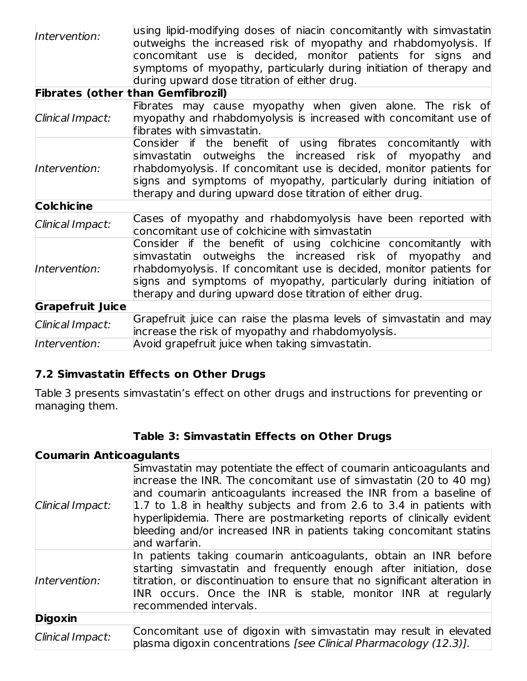| Intervention:           | using lipid-modifying doses of niacin concomitantly with simvastatin<br>outweighs the increased risk of myopathy and rhabdomyolysis. If<br>concomitant use is decided, monitor patients for signs and<br>symptoms of myopathy, particularly during initiation of therapy and<br>during upward dose titration of either drug.          |
|-------------------------|---------------------------------------------------------------------------------------------------------------------------------------------------------------------------------------------------------------------------------------------------------------------------------------------------------------------------------------|
|                         | <b>Fibrates (other than Gemfibrozil)</b>                                                                                                                                                                                                                                                                                              |
| Clinical Impact:        | Fibrates may cause myopathy when given alone. The risk of<br>myopathy and rhabdomyolysis is increased with concomitant use of<br>fibrates with simvastatin.                                                                                                                                                                           |
| Intervention:           | Consider if the benefit of using fibrates concomitantly<br>with<br>simvastatin outweighs the increased risk of myopathy and<br>rhabdomyolysis. If concomitant use is decided, monitor patients for<br>signs and symptoms of myopathy, particularly during initiation of<br>therapy and during upward dose titration of either drug.   |
| <b>Colchicine</b>       |                                                                                                                                                                                                                                                                                                                                       |
| Clinical Impact:        | Cases of myopathy and rhabdomyolysis have been reported with<br>concomitant use of colchicine with simvastatin                                                                                                                                                                                                                        |
| Intervention:           | Consider if the benefit of using colchicine concomitantly<br>with<br>simvastatin outweighs the increased risk of myopathy and<br>rhabdomyolysis. If concomitant use is decided, monitor patients for<br>signs and symptoms of myopathy, particularly during initiation of<br>therapy and during upward dose titration of either drug. |
| <b>Grapefruit Juice</b> |                                                                                                                                                                                                                                                                                                                                       |
| Clinical Impact:        | Grapefruit juice can raise the plasma levels of simvastatin and may<br>increase the risk of myopathy and rhabdomyolysis.                                                                                                                                                                                                              |
| Intervention:           | Avoid grapefruit juice when taking simvastatin.                                                                                                                                                                                                                                                                                       |

# **7.2 Simvastatin Effects on Other Drugs**

Table 3 presents simvastatin's effect on other drugs and instructions for preventing or managing them.

| Table 3: Simvastatin Effects on Other Drugs |  |  |  |
|---------------------------------------------|--|--|--|
|---------------------------------------------|--|--|--|

| <b>Coumarin Anticoagulants</b> |                                                                                                                                                                                                                                                                                                                                                                                                                                                         |
|--------------------------------|---------------------------------------------------------------------------------------------------------------------------------------------------------------------------------------------------------------------------------------------------------------------------------------------------------------------------------------------------------------------------------------------------------------------------------------------------------|
| Clinical Impact:               | Simvastatin may potentiate the effect of coumarin anticoagulants and<br>increase the INR. The concomitant use of simvastatin (20 to 40 mg)<br>and coumarin anticoagulants increased the INR from a baseline of<br>1.7 to 1.8 in healthy subjects and from 2.6 to 3.4 in patients with<br>hyperlipidemia. There are postmarketing reports of clinically evident<br>bleeding and/or increased INR in patients taking concomitant statins<br>and warfarin. |
| Intervention:                  | In patients taking coumarin anticoagulants, obtain an INR before<br>starting simvastatin and frequently enough after initiation, dose<br>titration, or discontinuation to ensure that no significant alteration in<br>INR occurs. Once the INR is stable, monitor INR at regularly<br>recommended intervals.                                                                                                                                            |
| <b>Digoxin</b>                 |                                                                                                                                                                                                                                                                                                                                                                                                                                                         |
| Clinical Impact:               | Concomitant use of digoxin with simvastatin may result in elevated<br>plasma digoxin concentrations [see Clinical Pharmacology (12.3)].                                                                                                                                                                                                                                                                                                                 |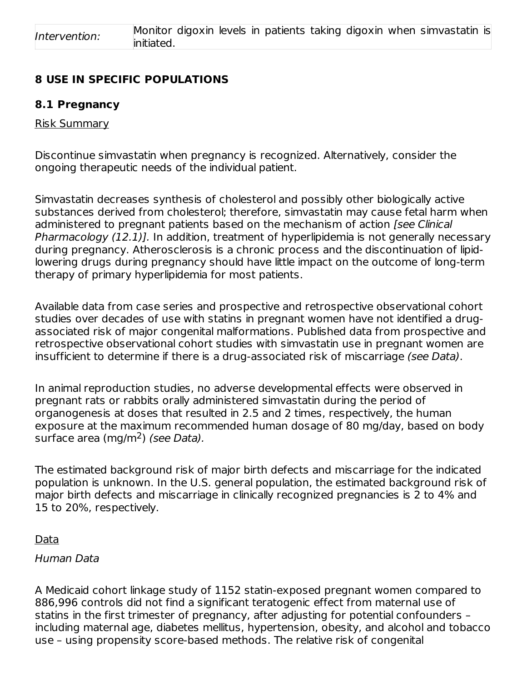# **8 USE IN SPECIFIC POPULATIONS**

### **8.1 Pregnancy**

Risk Summary

Discontinue simvastatin when pregnancy is recognized. Alternatively, consider the ongoing therapeutic needs of the individual patient.

Simvastatin decreases synthesis of cholesterol and possibly other biologically active substances derived from cholesterol; therefore, simvastatin may cause fetal harm when administered to pregnant patients based on the mechanism of action [see Clinical Pharmacology (12.1)]. In addition, treatment of hyperlipidemia is not generally necessary during pregnancy. Atherosclerosis is a chronic process and the discontinuation of lipidlowering drugs during pregnancy should have little impact on the outcome of long-term therapy of primary hyperlipidemia for most patients.

Available data from case series and prospective and retrospective observational cohort studies over decades of use with statins in pregnant women have not identified a drugassociated risk of major congenital malformations. Published data from prospective and retrospective observational cohort studies with simvastatin use in pregnant women are insufficient to determine if there is a drug-associated risk of miscarriage (see Data).

In animal reproduction studies, no adverse developmental effects were observed in pregnant rats or rabbits orally administered simvastatin during the period of organogenesis at doses that resulted in 2.5 and 2 times, respectively, the human exposure at the maximum recommended human dosage of 80 mg/day, based on body surface area (mg/m<sup>2</sup>) *(see Data).* 

The estimated background risk of major birth defects and miscarriage for the indicated population is unknown. In the U.S. general population, the estimated background risk of major birth defects and miscarriage in clinically recognized pregnancies is 2 to 4% and 15 to 20%, respectively.

### Data

### Human Data

A Medicaid cohort linkage study of 1152 statin-exposed pregnant women compared to 886,996 controls did not find a significant teratogenic effect from maternal use of statins in the first trimester of pregnancy, after adjusting for potential confounders – including maternal age, diabetes mellitus, hypertension, obesity, and alcohol and tobacco use – using propensity score-based methods. The relative risk of congenital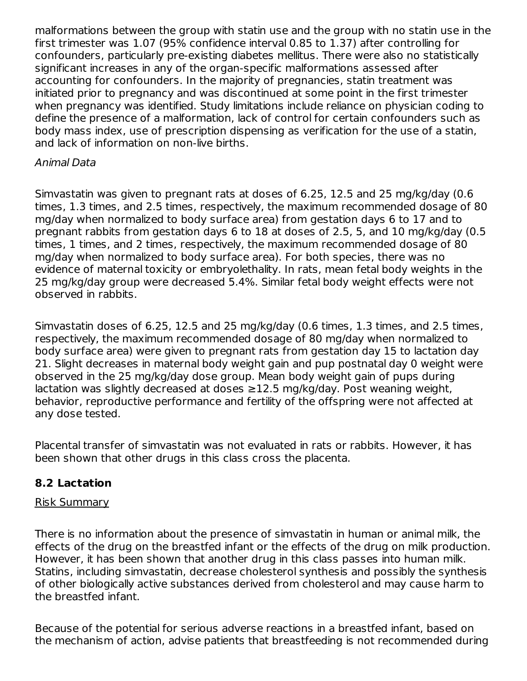malformations between the group with statin use and the group with no statin use in the first trimester was 1.07 (95% confidence interval 0.85 to 1.37) after controlling for confounders, particularly pre-existing diabetes mellitus. There were also no statistically significant increases in any of the organ-specific malformations assessed after accounting for confounders. In the majority of pregnancies, statin treatment was initiated prior to pregnancy and was discontinued at some point in the first trimester when pregnancy was identified. Study limitations include reliance on physician coding to define the presence of a malformation, lack of control for certain confounders such as body mass index, use of prescription dispensing as verification for the use of a statin, and lack of information on non-live births.

### Animal Data

Simvastatin was given to pregnant rats at doses of 6.25, 12.5 and 25 mg/kg/day (0.6 times, 1.3 times, and 2.5 times, respectively, the maximum recommended dosage of 80 mg/day when normalized to body surface area) from gestation days 6 to 17 and to pregnant rabbits from gestation days 6 to 18 at doses of 2.5, 5, and 10 mg/kg/day (0.5 times, 1 times, and 2 times, respectively, the maximum recommended dosage of 80 mg/day when normalized to body surface area). For both species, there was no evidence of maternal toxicity or embryolethality. In rats, mean fetal body weights in the 25 mg/kg/day group were decreased 5.4%. Similar fetal body weight effects were not observed in rabbits.

Simvastatin doses of 6.25, 12.5 and 25 mg/kg/day (0.6 times, 1.3 times, and 2.5 times, respectively, the maximum recommended dosage of 80 mg/day when normalized to body surface area) were given to pregnant rats from gestation day 15 to lactation day 21. Slight decreases in maternal body weight gain and pup postnatal day 0 weight were observed in the 25 mg/kg/day dose group. Mean body weight gain of pups during lactation was slightly decreased at doses  $\geq$ 12.5 mg/kg/day. Post weaning weight, behavior, reproductive performance and fertility of the offspring were not affected at any dose tested.

Placental transfer of simvastatin was not evaluated in rats or rabbits. However, it has been shown that other drugs in this class cross the placenta.

### **8.2 Lactation**

#### Risk Summary

There is no information about the presence of simvastatin in human or animal milk, the effects of the drug on the breastfed infant or the effects of the drug on milk production. However, it has been shown that another drug in this class passes into human milk. Statins, including simvastatin, decrease cholesterol synthesis and possibly the synthesis of other biologically active substances derived from cholesterol and may cause harm to the breastfed infant.

Because of the potential for serious adverse reactions in a breastfed infant, based on the mechanism of action, advise patients that breastfeeding is not recommended during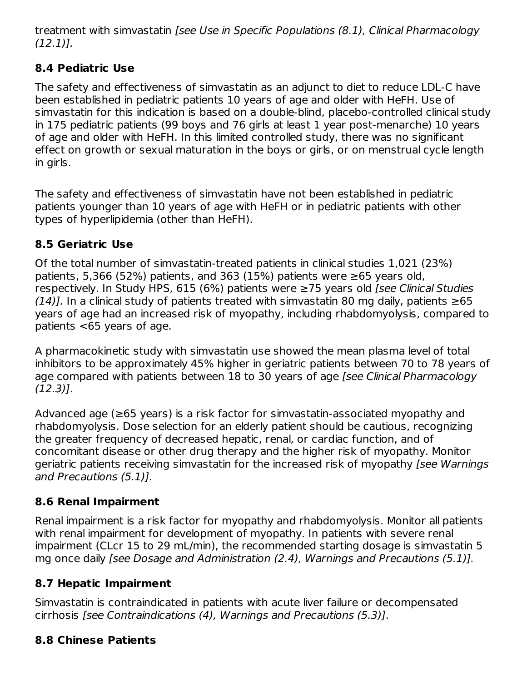treatment with simvastatin [see Use in Specific Populations (8.1), Clinical Pharmacology (12.1)].

# **8.4 Pediatric Use**

The safety and effectiveness of simvastatin as an adjunct to diet to reduce LDL-C have been established in pediatric patients 10 years of age and older with HeFH. Use of simvastatin for this indication is based on a double-blind, placebo-controlled clinical study in 175 pediatric patients (99 boys and 76 girls at least 1 year post-menarche) 10 years of age and older with HeFH. In this limited controlled study, there was no significant effect on growth or sexual maturation in the boys or girls, or on menstrual cycle length in girls.

The safety and effectiveness of simvastatin have not been established in pediatric patients younger than 10 years of age with HeFH or in pediatric patients with other types of hyperlipidemia (other than HeFH).

# **8.5 Geriatric Use**

Of the total number of simvastatin-treated patients in clinical studies 1,021 (23%) patients, 5,366 (52%) patients, and 363 (15%) patients were ≥65 years old, respectively. In Study HPS, 615 (6%) patients were  $\geq$ 75 years old *[see Clinical Studies*  $(14)$ ]. In a clinical study of patients treated with simvastatin 80 mg daily, patients  $\geq 65$ years of age had an increased risk of myopathy, including rhabdomyolysis, compared to patients <65 years of age.

A pharmacokinetic study with simvastatin use showed the mean plasma level of total inhibitors to be approximately 45% higher in geriatric patients between 70 to 78 years of age compared with patients between 18 to 30 years of age [see Clinical Pharmacology (12.3)].

Advanced age (≥65 years) is a risk factor for simvastatin-associated myopathy and rhabdomyolysis. Dose selection for an elderly patient should be cautious, recognizing the greater frequency of decreased hepatic, renal, or cardiac function, and of concomitant disease or other drug therapy and the higher risk of myopathy. Monitor geriatric patients receiving simvastatin for the increased risk of myopathy [see Warnings] and Precautions (5.1)].

# **8.6 Renal Impairment**

Renal impairment is a risk factor for myopathy and rhabdomyolysis. Monitor all patients with renal impairment for development of myopathy. In patients with severe renal impairment (CLcr 15 to 29 mL/min), the recommended starting dosage is simvastatin 5 mg once daily [see Dosage and Administration (2.4), Warnings and Precautions (5.1)].

# **8.7 Hepatic Impairment**

Simvastatin is contraindicated in patients with acute liver failure or decompensated cirrhosis [see Contraindications (4), Warnings and Precautions (5.3)].

# **8.8 Chinese Patients**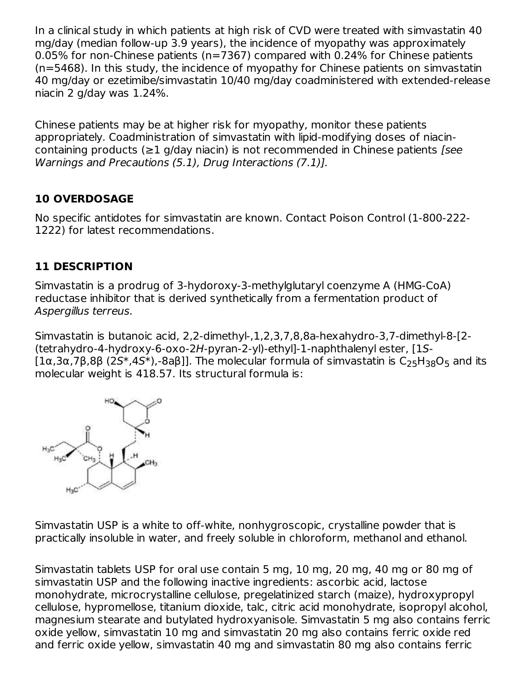In a clinical study in which patients at high risk of CVD were treated with simvastatin 40 mg/day (median follow-up 3.9 years), the incidence of myopathy was approximately 0.05% for non-Chinese patients (n=7367) compared with 0.24% for Chinese patients (n=5468). In this study, the incidence of myopathy for Chinese patients on simvastatin 40 mg/day or ezetimibe/simvastatin 10/40 mg/day coadministered with extended-release niacin 2 g/day was 1.24%.

Chinese patients may be at higher risk for myopathy, monitor these patients appropriately. Coadministration of simvastatin with lipid-modifying doses of niacincontaining products ( $\geq$ 1 g/day niacin) is not recommended in Chinese patients *[see*] Warnings and Precautions (5.1), Drug Interactions (7.1)].

# **10 OVERDOSAGE**

No specific antidotes for simvastatin are known. Contact Poison Control (1-800-222- 1222) for latest recommendations.

# **11 DESCRIPTION**

Simvastatin is a prodrug of 3-hydoroxy-3-methylglutaryl coenzyme A (HMG-CoA) reductase inhibitor that is derived synthetically from a fermentation product of Aspergillus terreus.

Simvastatin is butanoic acid, 2,2-dimethyl-,1,2,3,7,8,8a-hexahydro-3,7-dimethyl-8-[2- (tetrahydro-4-hydroxy-6-oxo-2H-pyran-2-yl)-ethyl]-1-naphthalenyl ester, [1S- [1α,3α,7β,8β (2S\*,4S\*),-8aβ]]. The molecular formula of simvastatin is C<sub>25</sub>H<sub>38</sub>O<sub>5</sub> and its molecular weight is 418.57. Its structural formula is:



Simvastatin USP is a white to off-white, nonhygroscopic, crystalline powder that is practically insoluble in water, and freely soluble in chloroform, methanol and ethanol.

Simvastatin tablets USP for oral use contain 5 mg, 10 mg, 20 mg, 40 mg or 80 mg of simvastatin USP and the following inactive ingredients: ascorbic acid, lactose monohydrate, microcrystalline cellulose, pregelatinized starch (maize), hydroxypropyl cellulose, hypromellose, titanium dioxide, talc, citric acid monohydrate, isopropyl alcohol, magnesium stearate and butylated hydroxyanisole. Simvastatin 5 mg also contains ferric oxide yellow, simvastatin 10 mg and simvastatin 20 mg also contains ferric oxide red and ferric oxide yellow, simvastatin 40 mg and simvastatin 80 mg also contains ferric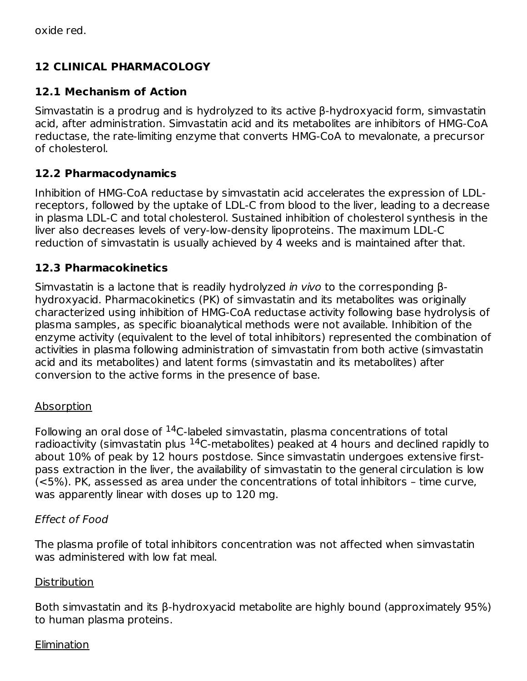oxide red.

# **12 CLINICAL PHARMACOLOGY**

### **12.1 Mechanism of Action**

Simvastatin is a prodrug and is hydrolyzed to its active β-hydroxyacid form, simvastatin acid, after administration. Simvastatin acid and its metabolites are inhibitors of HMG-CoA reductase, the rate-limiting enzyme that converts HMG-CoA to mevalonate, a precursor of cholesterol.

### **12.2 Pharmacodynamics**

Inhibition of HMG-CoA reductase by simvastatin acid accelerates the expression of LDLreceptors, followed by the uptake of LDL-C from blood to the liver, leading to a decrease in plasma LDL-C and total cholesterol. Sustained inhibition of cholesterol synthesis in the liver also decreases levels of very-low-density lipoproteins. The maximum LDL-C reduction of simvastatin is usually achieved by 4 weeks and is maintained after that.

### **12.3 Pharmacokinetics**

Simvastatin is a lactone that is readily hydrolyzed in vivo to the corresponding βhydroxyacid. Pharmacokinetics (PK) of simvastatin and its metabolites was originally characterized using inhibition of HMG-CoA reductase activity following base hydrolysis of plasma samples, as specific bioanalytical methods were not available. Inhibition of the enzyme activity (equivalent to the level of total inhibitors) represented the combination of activities in plasma following administration of simvastatin from both active (simvastatin acid and its metabolites) and latent forms (simvastatin and its metabolites) after conversion to the active forms in the presence of base.

### **Absorption**

Following an oral dose of  $^{14}$ C-labeled simvastatin, plasma concentrations of total radioactivity (simvastatin plus  $^{14}$ C-metabolites) peaked at 4 hours and declined rapidly to about 10% of peak by 12 hours postdose. Since simvastatin undergoes extensive firstpass extraction in the liver, the availability of simvastatin to the general circulation is low (<5%). PK, assessed as area under the concentrations of total inhibitors – time curve, was apparently linear with doses up to 120 mg.

### Effect of Food

The plasma profile of total inhibitors concentration was not affected when simvastatin was administered with low fat meal.

### **Distribution**

Both simvastatin and its β-hydroxyacid metabolite are highly bound (approximately 95%) to human plasma proteins.

#### **Elimination**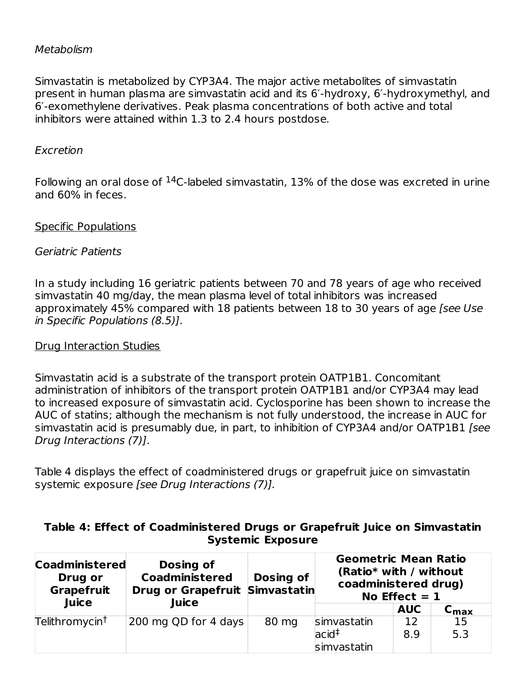### Metabolism

Simvastatin is metabolized by CYP3A4. The major active metabolites of simvastatin present in human plasma are simvastatin acid and its 6′-hydroxy, 6′-hydroxymethyl, and 6′-exomethylene derivatives. Peak plasma concentrations of both active and total inhibitors were attained within 1.3 to 2.4 hours postdose.

### Excretion

Following an oral dose of  $^{14}$ C-labeled simvastatin, 13% of the dose was excreted in urine and 60% in feces.

### Specific Populations

### Geriatric Patients

In a study including 16 geriatric patients between 70 and 78 years of age who received simvastatin 40 mg/day, the mean plasma level of total inhibitors was increased approximately 45% compared with 18 patients between 18 to 30 years of age [see Use in Specific Populations (8.5)].

### Drug Interaction Studies

Simvastatin acid is a substrate of the transport protein OATP1B1. Concomitant administration of inhibitors of the transport protein OATP1B1 and/or CYP3A4 may lead to increased exposure of simvastatin acid. Cyclosporine has been shown to increase the AUC of statins; although the mechanism is not fully understood, the increase in AUC for simvastatin acid is presumably due, in part, to inhibition of CYP3A4 and/or OATP1B1 [see Drug Interactions (7)].

Table 4 displays the effect of coadministered drugs or grapefruit juice on simvastatin systemic exposure [see Drug Interactions (7)].

### **Table 4: Effect of Coadministered Drugs or Grapefruit Juice on Simvastatin Systemic Exposure**

| <b>Coadministered</b><br>Drug or<br>Grapefruit<br>Juice | Dosing of<br><b>Coadministered</b><br><b>Drug or Grapefruit Simvastatin</b><br>Juice | Dosing of | <b>Geometric Mean Ratio</b><br>(Ratio* with / without<br>coadministered drug)<br>No Effect $= 1$ |            |                             |
|---------------------------------------------------------|--------------------------------------------------------------------------------------|-----------|--------------------------------------------------------------------------------------------------|------------|-----------------------------|
|                                                         |                                                                                      |           |                                                                                                  | <b>AUC</b> | $\mathsf{c}_{\mathsf{max}}$ |
| Telithromycin <sup>t</sup>                              | 200 mg QD for 4 days                                                                 | 80 mg     | simvastatin                                                                                      | 12         | 15                          |
|                                                         |                                                                                      |           | $ accid^{\ddagger} $                                                                             | 8.9        | 5.3                         |
|                                                         |                                                                                      |           | simvastatin                                                                                      |            |                             |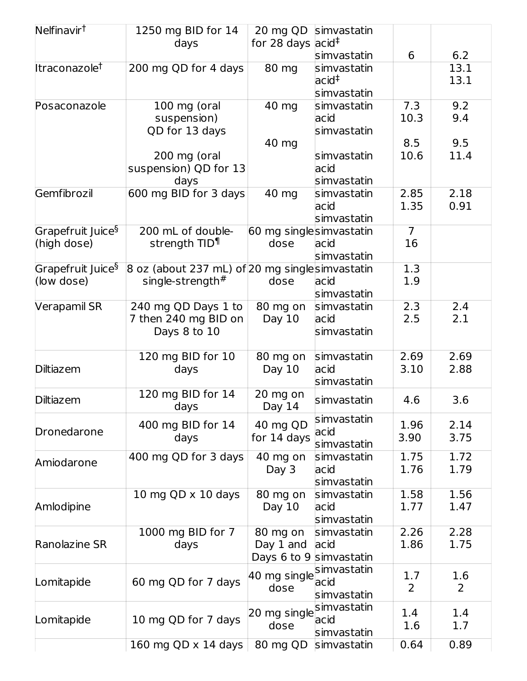| Nelfinavir <sup>t</sup>                      | 1250 mg BID for 14<br>days                                         | for 28 days $ acc $                                | 20 mg QD simvastatin                            |                      |                       |
|----------------------------------------------|--------------------------------------------------------------------|----------------------------------------------------|-------------------------------------------------|----------------------|-----------------------|
|                                              |                                                                    |                                                    | simvastatin                                     | 6                    | 6.2                   |
| Itraconazole <sup>†</sup>                    | 200 mg QD for 4 days                                               | 80 mg                                              | simvastatin<br>$acid^{\ddagger}$<br>simvastatin |                      | 13.1<br>13.1          |
| Posaconazole                                 | 100 mg (oral<br>suspension)<br>QD for 13 days                      | 40 mg                                              | simvastatin<br>acid<br>simvastatin              | 7.3<br>10.3          | 9.2<br>9.4            |
|                                              | 200 mg (oral<br>suspension) QD for 13<br>days                      | 40 mg                                              | simvastatin<br>acid<br>simvastatin              | 8.5<br>10.6          | 9.5<br>11.4           |
| Gemfibrozil                                  | 600 mg BID for 3 days                                              | 40 mg                                              | simvastatin<br>acid<br>simvastatin              | 2.85<br>1.35         | 2.18<br>0.91          |
| Grapefruit Juice <sup>§</sup><br>(high dose) | 200 mL of double-<br>strength TID <sup>¶</sup>                     | 60 mg singlesimvastatin<br>dose                    | acid<br>simvastatin                             | $\overline{7}$<br>16 |                       |
| Grapefruit Juice <sup>§</sup><br>(low dose)  | 8 oz (about 237 mL) of 20 mg singlesimvastatin<br>single-strength# | dose                                               | acid<br>simvastatin                             | 1.3<br>1.9           |                       |
| Verapamil SR                                 | 240 mg QD Days 1 to<br>7 then 240 mg BID on<br>Days 8 to 10        | 80 mg on<br>Day 10                                 | simvastatin<br>acid<br>simvastatin              | 2.3<br>2.5           | 2.4<br>2.1            |
| <b>Diltiazem</b>                             | 120 mg BID for 10<br>days                                          | 80 mg on<br>Day 10                                 | simvastatin<br>acid<br>simvastatin              | 2.69<br>3.10         | 2.69<br>2.88          |
| Diltiazem                                    | 120 mg BID for 14<br>days                                          | 20 mg on<br>Day 14                                 | simvastatin                                     | 4.6                  | 3.6                   |
| Dronedarone                                  | 400 mg BID for 14<br>days                                          | 40 mg QD<br>for 14 days                            | simvastatin<br>acid<br>simvastatin              | 1.96<br>3.90         | 2.14<br>3.75          |
| Amiodarone                                   | 400 mg QD for 3 days                                               | 40 mg on<br>Day $3$                                | simvastatin<br>acid<br>simvastatin              | 1.75<br>1.76         | 1.72<br>1.79          |
| Amlodipine                                   | 10 mg QD x 10 days                                                 | 80 mg on<br>Day 10                                 | simvastatin<br>acid<br>simvastatin              | 1.58<br>1.77         | 1.56<br>1.47          |
| Ranolazine SR                                | 1000 mg BID for 7<br>days                                          | $80$ mg on<br>Day 1 and<br>Days 6 to 9 simvastatin | simvastatin<br>acid                             | 2.26<br>1.86         | 2.28<br>1.75          |
| Lomitapide                                   | 60 mg QD for 7 days                                                | 40 mg single<br>dose                               | simvastatin<br>acid<br>simvastatin              | 1.7<br>2             | 1.6<br>$\overline{2}$ |
| Lomitapide                                   | 10 mg QD for 7 days                                                | 20 mg single<br>dose                               | simvastatin<br>acid<br>simvastatin              | 1.4<br>1.6           | 1.4<br>1.7            |
|                                              | 160 mg QD x 14 days                                                | 80 mg QD                                           | simvastatin                                     | 0.64                 | 0.89                  |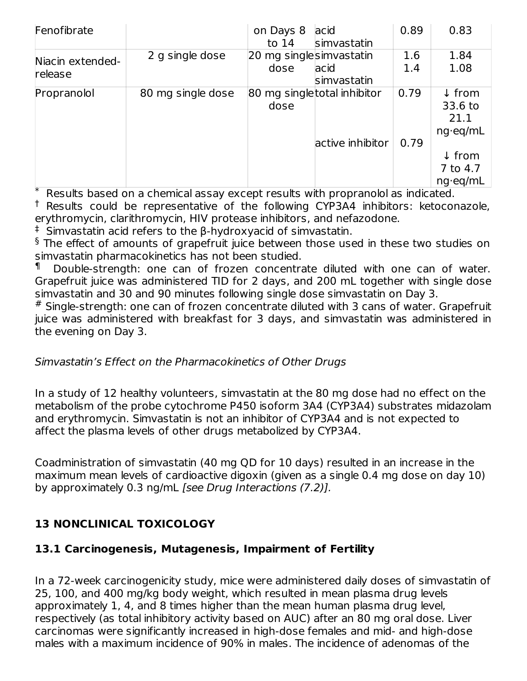| Fenofibrate      |                   | on Days 8               | acid                        | 0.89 | 0.83              |
|------------------|-------------------|-------------------------|-----------------------------|------|-------------------|
|                  |                   | to $14$                 | simvastatin                 |      |                   |
| Niacin extended- | 2 g single dose   | 20 mg singlesimvastatin |                             | 1.6  | 1.84              |
| release          |                   | dose                    | acid                        | 1.4  | 1.08              |
|                  |                   |                         | simvastatin                 |      |                   |
| Propranolol      | 80 mg single dose |                         | 80 mg singletotal inhibitor | 0.79 | $\downarrow$ from |
|                  |                   | dose                    |                             |      | 33.6 to           |
|                  |                   |                         |                             |      | 21.1              |
|                  |                   |                         |                             |      | ng eq/mL          |
|                  |                   |                         | active inhibitor            | 0.79 |                   |
|                  |                   |                         |                             |      | $\downarrow$ from |
|                  |                   |                         |                             |      | 7 to 4.7          |
|                  |                   |                         |                             |      | $nq \cdot eq/mL$  |

\* Results based on a chemical assay except results with propranolol as indicated.

<sup>†</sup> Results could be representative of the following CYP3A4 inhibitors: ketoconazole, erythromycin, clarithromycin, HIV protease inhibitors, and nefazodone.

 $\dagger$  Simvastatin acid refers to the β-hydroxyacid of simvastatin.

 $\mathrm{\$}$  The effect of amounts of grapefruit juice between those used in these two studies on simvastatin pharmacokinetics has not been studied.

Double-strength: one can of frozen concentrate diluted with one can of water. Grapefruit juice was administered TID for 2 days, and 200 mL together with single dose simvastatin and 30 and 90 minutes following single dose simvastatin on Day 3. ¶

 $*$  Single-strength: one can of frozen concentrate diluted with 3 cans of water. Grapefruit juice was administered with breakfast for 3 days, and simvastatin was administered in the evening on Day 3.

### Simvastatin's Effect on the Pharmacokinetics of Other Drugs

In a study of 12 healthy volunteers, simvastatin at the 80 mg dose had no effect on the metabolism of the probe cytochrome P450 isoform 3A4 (CYP3A4) substrates midazolam and erythromycin. Simvastatin is not an inhibitor of CYP3A4 and is not expected to affect the plasma levels of other drugs metabolized by CYP3A4.

Coadministration of simvastatin (40 mg QD for 10 days) resulted in an increase in the maximum mean levels of cardioactive digoxin (given as a single 0.4 mg dose on day 10) by approximately 0.3 ng/mL [see Drug Interactions (7.2)].

## **13 NONCLINICAL TOXICOLOGY**

### **13.1 Carcinogenesis, Mutagenesis, Impairment of Fertility**

In a 72-week carcinogenicity study, mice were administered daily doses of simvastatin of 25, 100, and 400 mg/kg body weight, which resulted in mean plasma drug levels approximately 1, 4, and 8 times higher than the mean human plasma drug level, respectively (as total inhibitory activity based on AUC) after an 80 mg oral dose. Liver carcinomas were significantly increased in high-dose females and mid- and high-dose males with a maximum incidence of 90% in males. The incidence of adenomas of the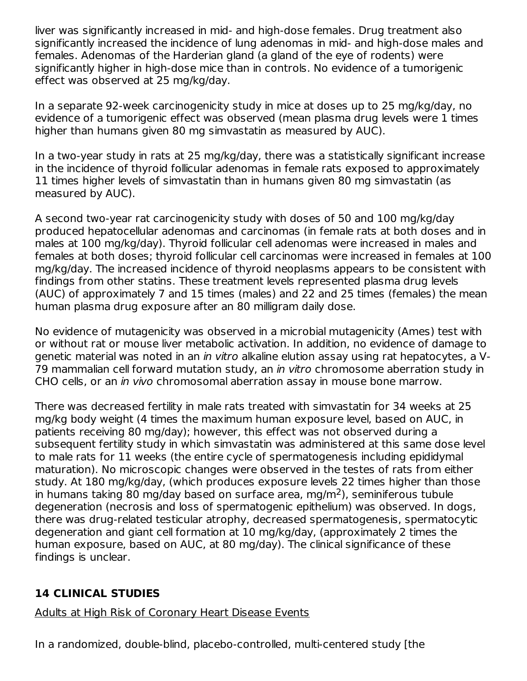liver was significantly increased in mid- and high-dose females. Drug treatment also significantly increased the incidence of lung adenomas in mid- and high-dose males and females. Adenomas of the Harderian gland (a gland of the eye of rodents) were significantly higher in high-dose mice than in controls. No evidence of a tumorigenic effect was observed at 25 mg/kg/day.

In a separate 92-week carcinogenicity study in mice at doses up to 25 mg/kg/day, no evidence of a tumorigenic effect was observed (mean plasma drug levels were 1 times higher than humans given 80 mg simvastatin as measured by AUC).

In a two-year study in rats at 25 mg/kg/day, there was a statistically significant increase in the incidence of thyroid follicular adenomas in female rats exposed to approximately 11 times higher levels of simvastatin than in humans given 80 mg simvastatin (as measured by AUC).

A second two-year rat carcinogenicity study with doses of 50 and 100 mg/kg/day produced hepatocellular adenomas and carcinomas (in female rats at both doses and in males at 100 mg/kg/day). Thyroid follicular cell adenomas were increased in males and females at both doses; thyroid follicular cell carcinomas were increased in females at 100 mg/kg/day. The increased incidence of thyroid neoplasms appears to be consistent with findings from other statins. These treatment levels represented plasma drug levels (AUC) of approximately 7 and 15 times (males) and 22 and 25 times (females) the mean human plasma drug exposure after an 80 milligram daily dose.

No evidence of mutagenicity was observed in a microbial mutagenicity (Ames) test with or without rat or mouse liver metabolic activation. In addition, no evidence of damage to genetic material was noted in an in vitro alkaline elution assay using rat hepatocytes, a V-79 mammalian cell forward mutation study, an in vitro chromosome aberration study in CHO cells, or an in vivo chromosomal aberration assay in mouse bone marrow.

There was decreased fertility in male rats treated with simvastatin for 34 weeks at 25 mg/kg body weight (4 times the maximum human exposure level, based on AUC, in patients receiving 80 mg/day); however, this effect was not observed during a subsequent fertility study in which simvastatin was administered at this same dose level to male rats for 11 weeks (the entire cycle of spermatogenesis including epididymal maturation). No microscopic changes were observed in the testes of rats from either study. At 180 mg/kg/day, (which produces exposure levels 22 times higher than those in humans taking 80 mg/day based on surface area, mg/m<sup>2</sup>), seminiferous tubule degeneration (necrosis and loss of spermatogenic epithelium) was observed. In dogs, there was drug-related testicular atrophy, decreased spermatogenesis, spermatocytic degeneration and giant cell formation at 10 mg/kg/day, (approximately 2 times the human exposure, based on AUC, at 80 mg/day). The clinical significance of these findings is unclear.

## **14 CLINICAL STUDIES**

Adults at High Risk of Coronary Heart Disease Events

In a randomized, double-blind, placebo-controlled, multi-centered study [the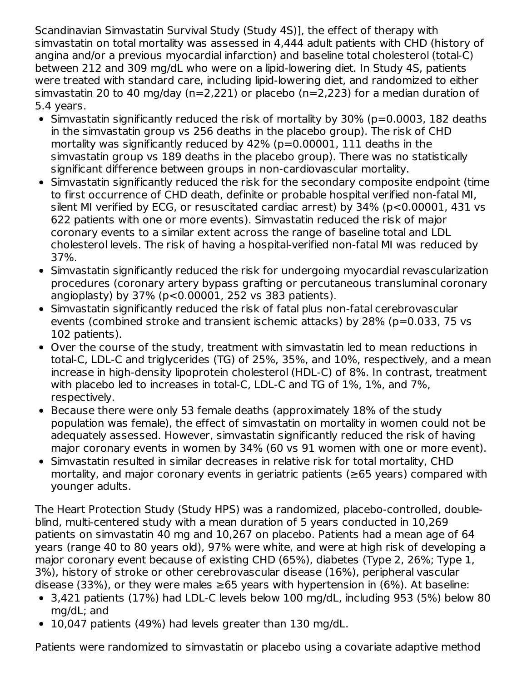Scandinavian Simvastatin Survival Study (Study 4S)], the effect of therapy with simvastatin on total mortality was assessed in 4,444 adult patients with CHD (history of angina and/or a previous myocardial infarction) and baseline total cholesterol (total-C) between 212 and 309 mg/dL who were on a lipid-lowering diet. In Study 4S, patients were treated with standard care, including lipid-lowering diet, and randomized to either simvastatin 20 to 40 mg/day (n=2,221) or placebo (n=2,223) for a median duration of 5.4 years.

- $\bullet$  Simvastatin significantly reduced the risk of mortality by 30% (p=0.0003, 182 deaths in the simvastatin group vs 256 deaths in the placebo group). The risk of CHD mortality was significantly reduced by  $42\%$  (p=0.00001, 111 deaths in the simvastatin group vs 189 deaths in the placebo group). There was no statistically significant difference between groups in non-cardiovascular mortality.
- Simvastatin significantly reduced the risk for the secondary composite endpoint (time to first occurrence of CHD death, definite or probable hospital verified non-fatal MI, silent MI verified by ECG, or resuscitated cardiac arrest) by 34% (p<0.00001, 431 vs 622 patients with one or more events). Simvastatin reduced the risk of major coronary events to a similar extent across the range of baseline total and LDL cholesterol levels. The risk of having a hospital-verified non-fatal MI was reduced by 37%.
- Simvastatin significantly reduced the risk for undergoing myocardial revascularization procedures (coronary artery bypass grafting or percutaneous transluminal coronary angioplasty) by 37% (p<0.00001, 252 vs 383 patients).
- Simvastatin significantly reduced the risk of fatal plus non-fatal cerebrovascular events (combined stroke and transient ischemic attacks) by 28% (p=0.033, 75 vs 102 patients).
- Over the course of the study, treatment with simvastatin led to mean reductions in total-C, LDL-C and triglycerides (TG) of 25%, 35%, and 10%, respectively, and a mean increase in high-density lipoprotein cholesterol (HDL-C) of 8%. In contrast, treatment with placebo led to increases in total-C, LDL-C and TG of 1%, 1%, and 7%, respectively.
- Because there were only 53 female deaths (approximately 18% of the study population was female), the effect of simvastatin on mortality in women could not be adequately assessed. However, simvastatin significantly reduced the risk of having major coronary events in women by 34% (60 vs 91 women with one or more event).
- Simvastatin resulted in similar decreases in relative risk for total mortality, CHD mortality, and major coronary events in geriatric patients (≥65 years) compared with younger adults.

The Heart Protection Study (Study HPS) was a randomized, placebo-controlled, doubleblind, multi-centered study with a mean duration of 5 years conducted in 10,269 patients on simvastatin 40 mg and 10,267 on placebo. Patients had a mean age of 64 years (range 40 to 80 years old), 97% were white, and were at high risk of developing a major coronary event because of existing CHD (65%), diabetes (Type 2, 26%; Type 1, 3%), history of stroke or other cerebrovascular disease (16%), peripheral vascular disease (33%), or they were males  $\geq 65$  years with hypertension in (6%). At baseline:

- 3,421 patients (17%) had LDL-C levels below 100 mg/dL, including 953 (5%) below 80 mg/dL; and
- 10,047 patients (49%) had levels greater than 130 mg/dL.

Patients were randomized to simvastatin or placebo using a covariate adaptive method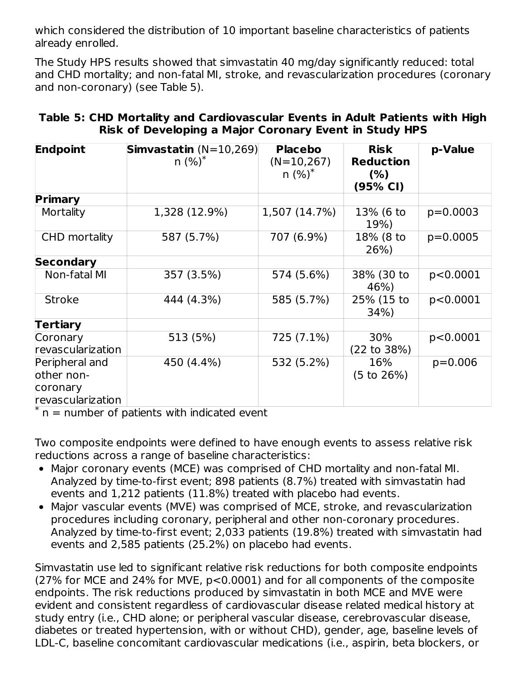which considered the distribution of 10 important baseline characteristics of patients already enrolled.

The Study HPS results showed that simvastatin 40 mg/day significantly reduced: total and CHD mortality; and non-fatal MI, stroke, and revascularization procedures (coronary and non-coronary) (see Table 5).

| <b>Endpoint</b>                                               | Simvastatin $(N=10,269)$<br>$n (%)^*$ | <b>Placebo</b><br>$(N=10,267)$<br>$n (%)^*$ | <b>Risk</b><br><b>Reduction</b><br>(% )<br>(95% CI) | p-Value    |
|---------------------------------------------------------------|---------------------------------------|---------------------------------------------|-----------------------------------------------------|------------|
| <b>Primary</b>                                                |                                       |                                             |                                                     |            |
| Mortality                                                     | 1,328 (12.9%)                         | 1,507 (14.7%)                               | 13% (6 to<br>19%)                                   | $p=0.0003$ |
| CHD mortality                                                 | 587 (5.7%)                            | 707 (6.9%)                                  | 18% (8 to<br>26%)                                   | $p=0.0005$ |
| <b>Secondary</b>                                              |                                       |                                             |                                                     |            |
| Non-fatal MI                                                  | 357 (3.5%)                            | 574 (5.6%)                                  | 38% (30 to<br>46%)                                  | p<0.0001   |
| <b>Stroke</b>                                                 | 444 (4.3%)                            | 585 (5.7%)                                  | 25% (15 to<br>34%)                                  | p<0.0001   |
| <b>Tertiary</b>                                               |                                       |                                             |                                                     |            |
| Coronary<br>revascularization                                 | 513 (5%)                              | 725 (7.1%)                                  | 30%<br>(22 to 38%)                                  | p<0.0001   |
| Peripheral and<br>other non-<br>coronary<br>revascularization | 450 (4.4%)                            | 532 (5.2%)                                  | 16%<br>(5 to 26%)                                   | $p=0.006$  |

### **Table 5: CHD Mortality and Cardiovascular Events in Adult Patients with High Risk of Developing a Major Coronary Event in Study HPS**

 $*$  n = number of patients with indicated event

Two composite endpoints were defined to have enough events to assess relative risk reductions across a range of baseline characteristics:

- Major coronary events (MCE) was comprised of CHD mortality and non-fatal MI. Analyzed by time-to-first event; 898 patients (8.7%) treated with simvastatin had events and 1,212 patients (11.8%) treated with placebo had events.
- Major vascular events (MVE) was comprised of MCE, stroke, and revascularization procedures including coronary, peripheral and other non-coronary procedures. Analyzed by time-to-first event; 2,033 patients (19.8%) treated with simvastatin had events and 2,585 patients (25.2%) on placebo had events.

Simvastatin use led to significant relative risk reductions for both composite endpoints (27% for MCE and 24% for MVE, p<0.0001) and for all components of the composite endpoints. The risk reductions produced by simvastatin in both MCE and MVE were evident and consistent regardless of cardiovascular disease related medical history at study entry (i.e., CHD alone; or peripheral vascular disease, cerebrovascular disease, diabetes or treated hypertension, with or without CHD), gender, age, baseline levels of LDL-C, baseline concomitant cardiovascular medications (i.e., aspirin, beta blockers, or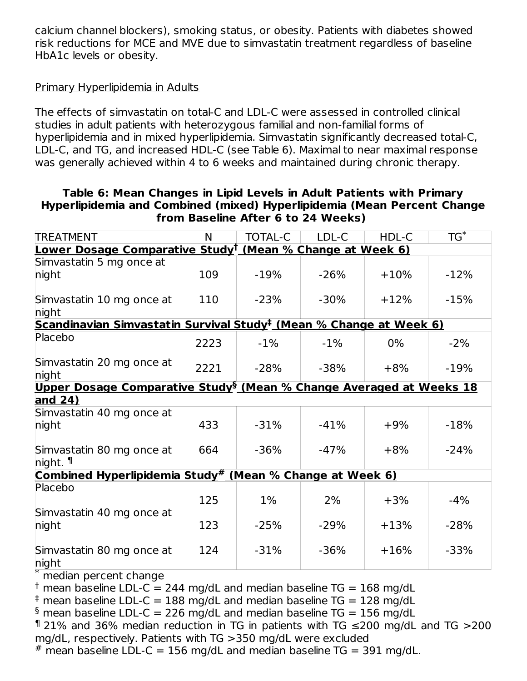calcium channel blockers), smoking status, or obesity. Patients with diabetes showed risk reductions for MCE and MVE due to simvastatin treatment regardless of baseline HbA1c levels or obesity.

### Primary Hyperlipidemia in Adults

The effects of simvastatin on total-C and LDL-C were assessed in controlled clinical studies in adult patients with heterozygous familial and non-familial forms of hyperlipidemia and in mixed hyperlipidemia. Simvastatin significantly decreased total-C, LDL-C, and TG, and increased HDL-C (see Table 6). Maximal to near maximal response was generally achieved within 4 to 6 weeks and maintained during chronic therapy.

### **Table 6: Mean Changes in Lipid Levels in Adult Patients with Primary Hyperlipidemia and Combined (mixed) Hyperlipidemia (Mean Percent Change from Baseline After 6 to 24 Weeks)**

| <b>TREATMENT</b>                                                                | N    | <b>TOTAL-C</b> | LDL-C  | HDL-C  | $\overline{\text{TG}^*}$ |  |  |
|---------------------------------------------------------------------------------|------|----------------|--------|--------|--------------------------|--|--|
| Lower Dosage Comparative Study <sup>†</sup> (Mean % Change at Week 6)           |      |                |        |        |                          |  |  |
| Simvastatin 5 mg once at<br>night                                               | 109  | $-19%$         | $-26%$ | $+10%$ | $-12%$                   |  |  |
| Simvastatin 10 mg once at<br>hight                                              | 110  | $-23%$         | $-30%$ | $+12%$ | $-15%$                   |  |  |
| Scandinavian Simvastatin Survival Study <sup>‡</sup> (Mean % Change at Week 6)  |      |                |        |        |                          |  |  |
| Placebo                                                                         | 2223 | $-1%$          | $-1%$  | $0\%$  | $-2%$                    |  |  |
| Simvastatin 20 mg once at<br><b>night</b>                                       | 2221 | $-28%$         | $-38%$ | $+8%$  | $-19%$                   |  |  |
| Upper Dosage Comparative Study <sup>§</sup> (Mean % Change Averaged at Weeks 18 |      |                |        |        |                          |  |  |
| and 24)                                                                         |      |                |        |        |                          |  |  |
| Simvastatin 40 mg once at<br>night                                              | 433  | $-31%$         | $-41%$ | $+9%$  | $-18%$                   |  |  |
| Simvastatin 80 mg once at<br>night. 1                                           | 664  | $-36%$         | $-47%$ | $+8%$  | $-24%$                   |  |  |
| Combined Hyperlipidemia Study# (Mean % Change at Week 6)                        |      |                |        |        |                          |  |  |
| Placebo                                                                         | 125  | $1\%$          | 2%     | $+3%$  | $-4%$                    |  |  |
| Simvastatin 40 mg once at<br>night                                              | 123  | $-25%$         | $-29%$ | $+13%$ | $-28%$                   |  |  |
| Simvastatin 80 mg once at<br>night                                              | 124  | $-31%$         | $-36%$ | $+16%$ | $-33%$                   |  |  |

median percent change \*

 $^\dagger$  mean baseline LDL-C = 244 mg/dL and median baseline TG = 168 mg/dL

 $\dagger$  mean baseline LDL-C = 188 mg/dL and median baseline TG = 128 mg/dL

 $\frac{1}{2}$  mean baseline LDL-C = 226 mg/dL and median baseline TG = 156 mg/dL

 $\text{121\%}$  and 36% median reduction in TG in patients with TG  $\leq$ 200 mg/dL and TG  $>$ 200 mg/dL, respectively. Patients with TG >350 mg/dL were excluded

 $*$  mean baseline LDL-C = 156 mg/dL and median baseline TG = 391 mg/dL.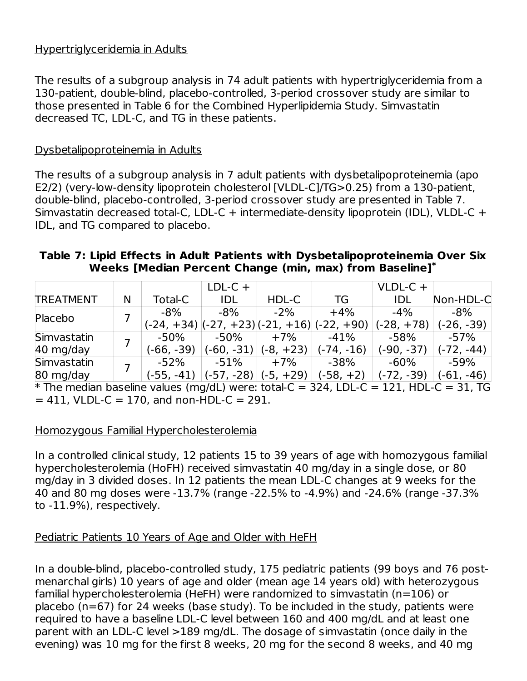### Hypertriglyceridemia in Adults

The results of a subgroup analysis in 74 adult patients with hypertriglyceridemia from a 130-patient, double-blind, placebo-controlled, 3-period crossover study are similar to those presented in Table 6 for the Combined Hyperlipidemia Study. Simvastatin decreased TC, LDL-C, and TG in these patients.

### Dysbetalipoproteinemia in Adults

The results of a subgroup analysis in 7 adult patients with dysbetalipoproteinemia (apo E2/2) (very-low-density lipoprotein cholesterol [VLDL-C]/TG>0.25) from a 130-patient, double-blind, placebo-controlled, 3-period crossover study are presented in Table 7. Simvastatin decreased total-C, LDL-C + intermediate-density lipoprotein (IDL), VLDL-C + IDL, and TG compared to placebo.

### **Table 7: Lipid Effects in Adult Patients with Dysbetalipoproteinemia Over Six Weeks [Median Percent Change (min, max) from Baseline] \***

|                  |   |              | $LDL-C +$    |             |                                                                  | $VLDL-C +$   |              |
|------------------|---|--------------|--------------|-------------|------------------------------------------------------------------|--------------|--------------|
| <b>TREATMENT</b> | N | Total-C      | IDL          | HDL-C       | TG                                                               | IDL          | Non-HDL-C    |
| Placebo          |   | $-8\%$       | -8%          | $-2\%$      | $+4%$                                                            | $-4\%$       | $-8\%$       |
|                  |   |              |              |             | $(-24, +34)$ $(-27, +23)$ $(-21, +16)$ $(-22, +90)$ $(-28, +78)$ |              | $(-26, -39)$ |
| Simvastatin      |   | $-50%$       | $-50\%$      | $+7%$       | $-41%$                                                           | $-58%$       | $-57%$       |
| 40 mg/day        |   | (-66, -39)   | $(-60, -31)$ | $(-8, +23)$ | (-74, -16)                                                       | (-90, -37)   | $(-72, -44)$ |
| Simvastatin      |   | $-52%$       | $-51%$       | $+7%$       | $-38%$                                                           | $-60%$       | -59%         |
| 80 mg/day        |   | $(-55, -41)$ | $(-57, -28)$ | (-5, +29)   | (-58, +2)                                                        | $(-72, -39)$ | $(-61, -46)$ |

 $\ast$  The median baseline values (mg/dL) were: total-C = 324, LDL-C = 121, HDL-C = 31, TG  $= 411$ , VLDL-C = 170, and non-HDL-C = 291.

#### Homozygous Familial Hypercholesterolemia

In a controlled clinical study, 12 patients 15 to 39 years of age with homozygous familial hypercholesterolemia (HoFH) received simvastatin 40 mg/day in a single dose, or 80 mg/day in 3 divided doses. In 12 patients the mean LDL-C changes at 9 weeks for the 40 and 80 mg doses were -13.7% (range -22.5% to -4.9%) and -24.6% (range -37.3% to -11.9%), respectively.

### Pediatric Patients 10 Years of Age and Older with HeFH

In a double-blind, placebo-controlled study, 175 pediatric patients (99 boys and 76 postmenarchal girls) 10 years of age and older (mean age 14 years old) with heterozygous familial hypercholesterolemia (HeFH) were randomized to simvastatin (n=106) or placebo  $(n=67)$  for 24 weeks (base study). To be included in the study, patients were required to have a baseline LDL-C level between 160 and 400 mg/dL and at least one parent with an LDL-C level >189 mg/dL. The dosage of simvastatin (once daily in the evening) was 10 mg for the first 8 weeks, 20 mg for the second 8 weeks, and 40 mg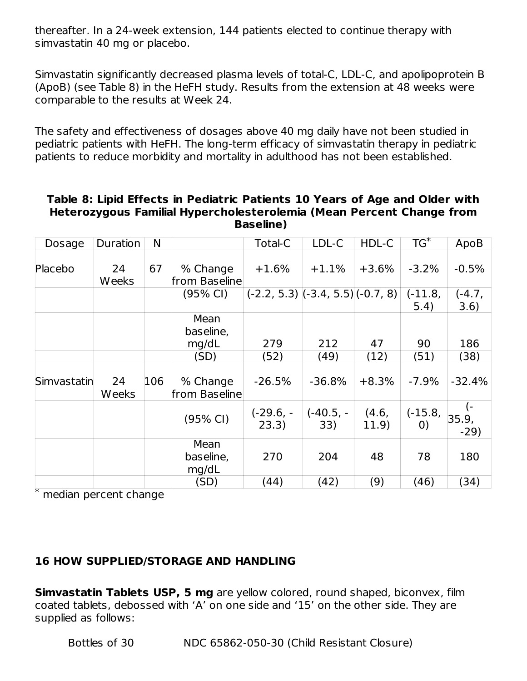thereafter. In a 24-week extension, 144 patients elected to continue therapy with simvastatin 40 mg or placebo.

Simvastatin significantly decreased plasma levels of total-C, LDL-C, and apolipoprotein B (ApoB) (see Table 8) in the HeFH study. Results from the extension at 48 weeks were comparable to the results at Week 24.

The safety and effectiveness of dosages above 40 mg daily have not been studied in pediatric patients with HeFH. The long-term efficacy of simvastatin therapy in pediatric patients to reduce morbidity and mortality in adulthood has not been established.

#### **Table 8: Lipid Effects in Pediatric Patients 10 Years of Age and Older with Heterozygous Familial Hypercholesterolemia (Mean Percent Change from Baseline)**

| Dosage      | Duration           | N   |                            | <b>Total-C</b>                          | LDL-C              | HDL-C          | $TG^*$                         | ApoB             |
|-------------|--------------------|-----|----------------------------|-----------------------------------------|--------------------|----------------|--------------------------------|------------------|
| Placebo     | 24<br><b>Weeks</b> | 67  | % Change<br>from Baseline  | $+1.6%$                                 | $+1.1%$            | $+3.6%$        | $-3.2%$                        | $-0.5%$          |
|             |                    |     | (95% CI)                   | $(-2.2, 5.3)$ $(-3.4, 5.5)$ $(-0.7, 8)$ |                    |                | $(-11.8,$<br>5.4)              | $(-4.7,$<br>3.6) |
|             |                    |     | Mean<br>baseline,          |                                         |                    |                |                                |                  |
|             |                    |     | mg/dL<br>(SD)              | 279<br>(52)                             | 212<br>(49)        | 47<br>(12)     | 90<br>(51)                     | 186<br>(38)      |
| Simvastatin | 24<br>Weeks        | 106 | % Change<br>from Baseline  | $-26.5%$                                | $-36.8%$           | $+8.3%$        | $-7.9\%$                       | $-32.4%$         |
|             |                    |     | (95% CI)                   | $(-29.6, -$<br>23.3)                    | $(-40.5, -$<br>33) | (4.6,<br>11.9) | $(-15.8,$<br>$\left( 0\right)$ | 35.9,<br>$-29)$  |
|             |                    |     | Mean<br>baseline,<br>mg/dL | 270                                     | 204                | 48             | 78                             | 180              |
|             |                    |     | (SD)                       | (44)                                    | (42)               | (9)            | (46)                           | (34)             |

median percent change \*

### **16 HOW SUPPLIED/STORAGE AND HANDLING**

**Simvastatin Tablets USP, 5 mg** are yellow colored, round shaped, biconvex, film coated tablets, debossed with 'A' on one side and '15' on the other side. They are supplied as follows: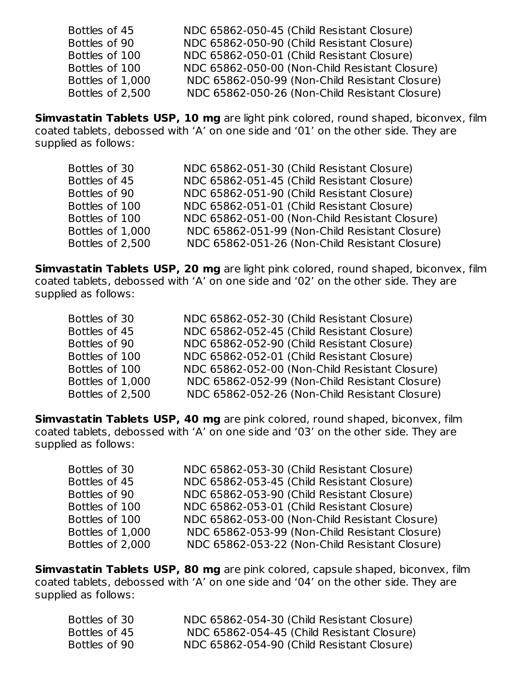Bottles of 45 NDC 65862-050-45 (Child Resistant Closure) Bottles of 90 NDC 65862-050-90 (Child Resistant Closure) Bottles of 100 NDC 65862-050-01 (Child Resistant Closure) Bottles of 100 NDC 65862-050-00 (Non-Child Resistant Closure) Bottles of 1,000 NDC 65862-050-99 (Non-Child Resistant Closure) Bottles of 2,500 NDC 65862-050-26 (Non-Child Resistant Closure)

**Simvastatin Tablets USP, 10 mg** are light pink colored, round shaped, biconvex, film coated tablets, debossed with 'A' on one side and '01' on the other side. They are supplied as follows:

| Bottles of 30    | NDC 65862-051-30 (Child Resistant Closure)     |
|------------------|------------------------------------------------|
| Bottles of 45    | NDC 65862-051-45 (Child Resistant Closure)     |
| Bottles of 90    | NDC 65862-051-90 (Child Resistant Closure)     |
| Bottles of 100   | NDC 65862-051-01 (Child Resistant Closure)     |
| Bottles of 100   | NDC 65862-051-00 (Non-Child Resistant Closure) |
| Bottles of 1,000 | NDC 65862-051-99 (Non-Child Resistant Closure) |
| Bottles of 2,500 | NDC 65862-051-26 (Non-Child Resistant Closure) |

**Simvastatin Tablets USP, 20 mg** are light pink colored, round shaped, biconvex, film coated tablets, debossed with 'A' on one side and '02' on the other side. They are supplied as follows:

| Bottles of 30    | NDC 65862-052-30 (Child Resistant Closure)     |
|------------------|------------------------------------------------|
| Bottles of 45    | NDC 65862-052-45 (Child Resistant Closure)     |
| Bottles of 90    | NDC 65862-052-90 (Child Resistant Closure)     |
| Bottles of 100   | NDC 65862-052-01 (Child Resistant Closure)     |
| Bottles of 100   | NDC 65862-052-00 (Non-Child Resistant Closure) |
| Bottles of 1,000 | NDC 65862-052-99 (Non-Child Resistant Closure) |
| Bottles of 2,500 | NDC 65862-052-26 (Non-Child Resistant Closure) |

**Simvastatin Tablets USP, 40 mg** are pink colored, round shaped, biconvex, film coated tablets, debossed with 'A' on one side and '03' on the other side. They are supplied as follows:

NDC 65862-053-30 (Child Resistant Closure) NDC 65862-053-45 (Child Resistant Closure) NDC 65862-053-90 (Child Resistant Closure) NDC 65862-053-01 (Child Resistant Closure) NDC 65862-053-00 (Non-Child Resistant Closure) NDC 65862-053-99 (Non-Child Resistant Closure) NDC 65862-053-22 (Non-Child Resistant Closure)

**Simvastatin Tablets USP, 80 mg** are pink colored, capsule shaped, biconvex, film coated tablets, debossed with 'A' on one side and '04' on the other side. They are supplied as follows:

| Bottles of 30 | NDC 65862-054-30 (Child Resistant Closure) |
|---------------|--------------------------------------------|
| Bottles of 45 | NDC 65862-054-45 (Child Resistant Closure) |
| Bottles of 90 | NDC 65862-054-90 (Child Resistant Closure) |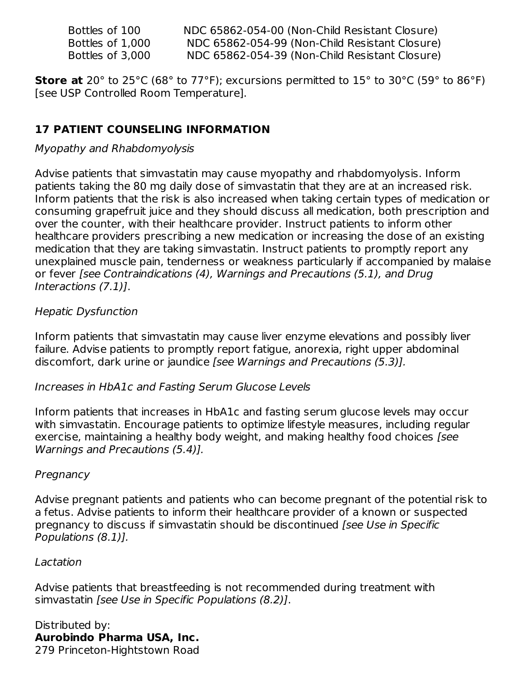| Bottles of 100   | NDC 65862-054-00 (Non-Child Resistant Closure) |
|------------------|------------------------------------------------|
| Bottles of 1,000 | NDC 65862-054-99 (Non-Child Resistant Closure) |
| Bottles of 3,000 | NDC 65862-054-39 (Non-Child Resistant Closure) |

**Store at** 20° to 25°C (68° to 77°F); excursions permitted to 15° to 30°C (59° to 86°F) [see USP Controlled Room Temperature].

# **17 PATIENT COUNSELING INFORMATION**

### Myopathy and Rhabdomyolysis

Advise patients that simvastatin may cause myopathy and rhabdomyolysis. Inform patients taking the 80 mg daily dose of simvastatin that they are at an increased risk. Inform patients that the risk is also increased when taking certain types of medication or consuming grapefruit juice and they should discuss all medication, both prescription and over the counter, with their healthcare provider. Instruct patients to inform other healthcare providers prescribing a new medication or increasing the dose of an existing medication that they are taking simvastatin. Instruct patients to promptly report any unexplained muscle pain, tenderness or weakness particularly if accompanied by malaise or fever [see Contraindications (4), Warnings and Precautions (5.1), and Drug Interactions (7.1)].

### Hepatic Dysfunction

Inform patients that simvastatin may cause liver enzyme elevations and possibly liver failure. Advise patients to promptly report fatigue, anorexia, right upper abdominal discomfort, dark urine or jaundice [see Warnings and Precautions (5.3)].

### Increases in HbA1c and Fasting Serum Glucose Levels

Inform patients that increases in HbA1c and fasting serum glucose levels may occur with simvastatin. Encourage patients to optimize lifestyle measures, including regular exercise, maintaining a healthy body weight, and making healthy food choices [see Warnings and Precautions (5.4)].

### Pregnancy

Advise pregnant patients and patients who can become pregnant of the potential risk to a fetus. Advise patients to inform their healthcare provider of a known or suspected pregnancy to discuss if simvastatin should be discontinued [see Use in Specific Populations (8.1)].

#### Lactation

Advise patients that breastfeeding is not recommended during treatment with simvastatin [see Use in Specific Populations (8.2)].

Distributed by: **Aurobindo Pharma USA, Inc.** 279 Princeton-Hightstown Road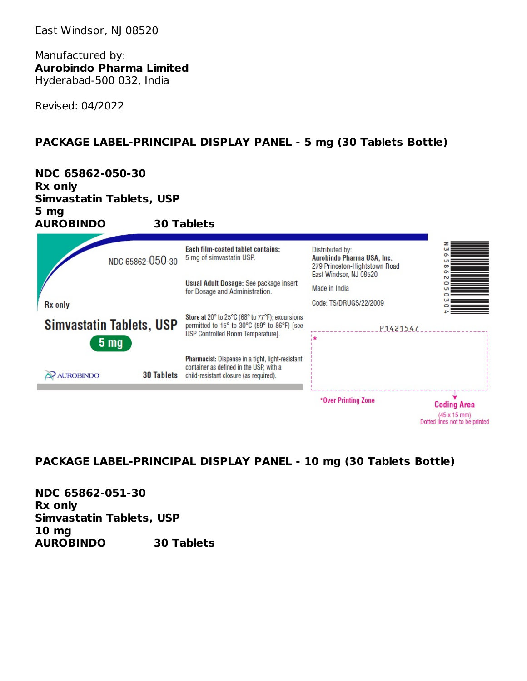East Windsor, NJ 08520

Manufactured by: **Aurobindo Pharma Limited** Hyderabad-500 032, India

Revised: 04/2022

### **PACKAGE LABEL-PRINCIPAL DISPLAY PANEL - 5 mg (30 Tablets Bottle)**



### **PACKAGE LABEL-PRINCIPAL DISPLAY PANEL - 10 mg (30 Tablets Bottle)**

**NDC 65862-051-30 Rx only Simvastatin Tablets, USP 10 mg AUROBINDO 30 Tablets**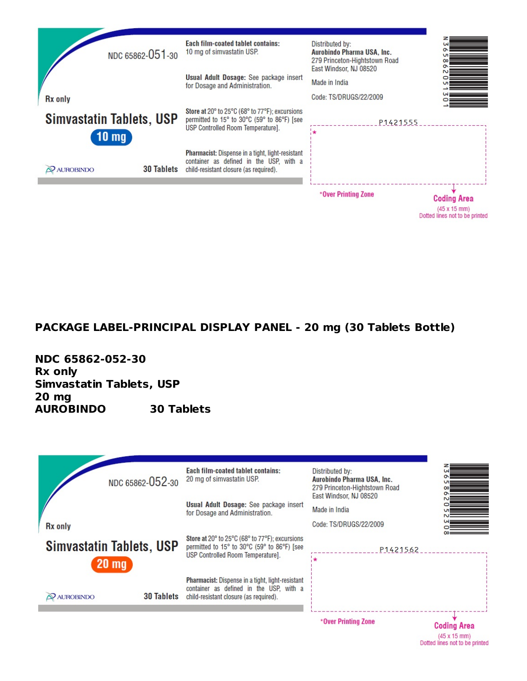

### **PACKAGE LABEL-PRINCIPAL DISPLAY PANEL - 20 mg (30 Tablets Bottle)**

**NDC 65862-052-30 Rx only Simvastatin Tablets, USP 20 mg AUROBINDO 30 Tablets**



**Coding Area**  $(45 \times 15 \text{ mm})$ Dotted lines not to be printed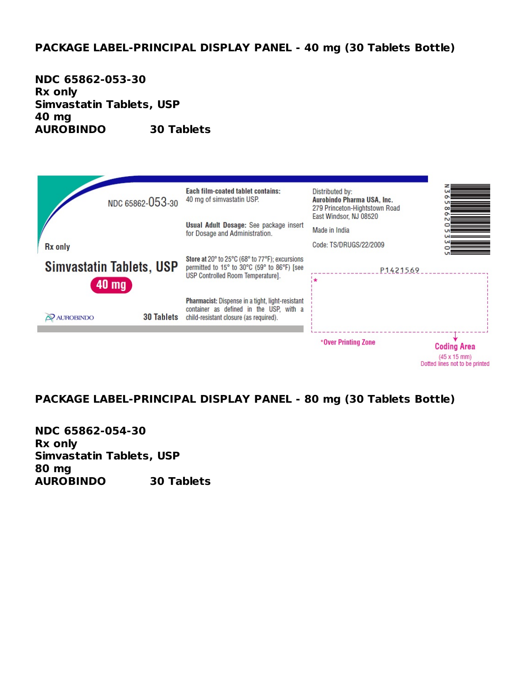### **PACKAGE LABEL-PRINCIPAL DISPLAY PANEL - 40 mg (30 Tablets Bottle)**

#### **NDC 65862-053-30 Rx only Simvastatin Tablets, USP 40 mg AUROBINDO 30 Tablets**



#### **PACKAGE LABEL-PRINCIPAL DISPLAY PANEL - 80 mg (30 Tablets Bottle)**

**NDC 65862-054-30 Rx only Simvastatin Tablets, USP 80 mg AUROBINDO 30 Tablets**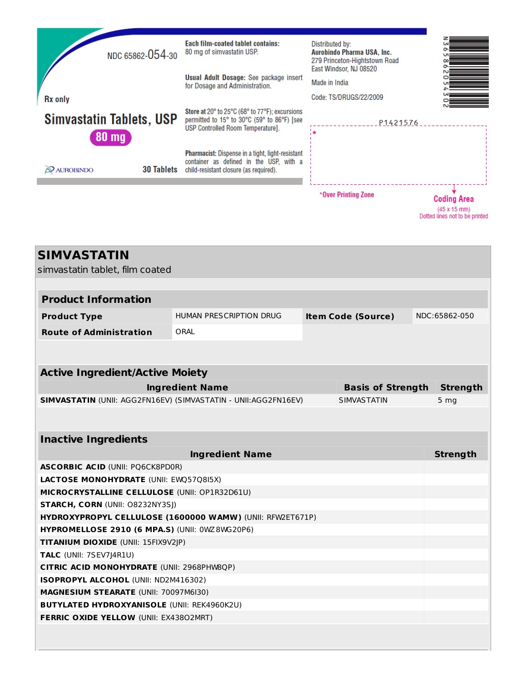| <b>Rx</b> only                                  | NDC 65862-054-30  | Each film-coated tablet contains:<br>80 mg of simvastatin USP.<br>Usual Adult Dosage: See package insert<br>for Dosage and Administration.   | Distributed by:<br>Aurobindo Pharma USA, Inc.<br>279 Princeton-Hightstown Road<br>East Windsor, NJ 08520<br>Made in India<br>Code: TS/DRUGS/22/2009 |                                                                      |
|-------------------------------------------------|-------------------|----------------------------------------------------------------------------------------------------------------------------------------------|-----------------------------------------------------------------------------------------------------------------------------------------------------|----------------------------------------------------------------------|
| <b>Simvastatin Tablets, USP</b><br><b>80 mg</b> |                   | Store at 20° to 25°C (68° to 77°F); excursions<br>permitted to 15° to 30°C (59° to 86°F) [see<br>USP Controlled Room Temperature].           | P1421576                                                                                                                                            |                                                                      |
| <b>AUROBINDO</b>                                | <b>30 Tablets</b> | <b>Pharmacist:</b> Dispense in a tight, light-resistant<br>container as defined in the USP, with a<br>child-resistant closure (as required). |                                                                                                                                                     |                                                                      |
|                                                 |                   |                                                                                                                                              | *Over Printing Zone                                                                                                                                 | <b>Coding Area</b><br>(45 x 15 mm)<br>Dotted lines not to be printed |

| <b>SIMVASTATIN</b>                                                                          |                                                                |                           |                 |
|---------------------------------------------------------------------------------------------|----------------------------------------------------------------|---------------------------|-----------------|
| simvastatin tablet, film coated                                                             |                                                                |                           |                 |
|                                                                                             |                                                                |                           |                 |
| <b>Product Information</b>                                                                  |                                                                |                           |                 |
| <b>Product Type</b>                                                                         | <b>HUMAN PRESCRIPTION DRUG</b>                                 | <b>Item Code (Source)</b> | NDC:65862-050   |
| <b>Route of Administration</b>                                                              | ORAL                                                           |                           |                 |
|                                                                                             |                                                                |                           |                 |
|                                                                                             |                                                                |                           |                 |
| <b>Active Ingredient/Active Moiety</b>                                                      |                                                                |                           |                 |
|                                                                                             | <b>Ingredient Name</b>                                         | <b>Basis of Strength</b>  | <b>Strength</b> |
|                                                                                             | SIMVASTATIN (UNII: AGG2FN16EV) (SIMVASTATIN - UNII:AGG2FN16EV) | SIMVASTATIN               | 5 mg            |
|                                                                                             |                                                                |                           |                 |
|                                                                                             |                                                                |                           |                 |
| <b>Inactive Ingredients</b>                                                                 |                                                                |                           |                 |
|                                                                                             | <b>Ingredient Name</b>                                         |                           | <b>Strength</b> |
| <b>ASCORBIC ACID (UNII: PQ6CK8PD0R)</b>                                                     |                                                                |                           |                 |
| <b>LACTOSE MONOHYDRATE (UNII: EWQ57Q8I5X)</b>                                               |                                                                |                           |                 |
| MICROCRYSTALLINE CELLULOSE (UNII: OP1R32D61U)                                               |                                                                |                           |                 |
| STARCH, CORN (UNII: 08232NY3SJ)                                                             |                                                                |                           |                 |
|                                                                                             | HYDROXYPROPYL CELLULOSE (1600000 WAMW) (UNII: RFW2ET671P)      |                           |                 |
| HYPROMELLOSE 2910 (6 MPA.S) (UNII: 0WZ8WG20P6)                                              |                                                                |                           |                 |
| TITANIUM DIOXIDE (UNII: 15FIX9V2JP)                                                         |                                                                |                           |                 |
| TALC (UNII: 7SEV7J4R1U)                                                                     |                                                                |                           |                 |
| CITRIC ACID MONOHYDRATE (UNII: 2968PHW8QP)                                                  |                                                                |                           |                 |
| ISOPROPYL ALCOHOL (UNII: ND2M416302)                                                        |                                                                |                           |                 |
| MAGNESIUM STEARATE (UNII: 70097M6I30)<br><b>BUTYLATED HYDROXYANISOLE (UNII: REK4960K2U)</b> |                                                                |                           |                 |
| FERRIC OXIDE YELLOW (UNII: EX43802MRT)                                                      |                                                                |                           |                 |
|                                                                                             |                                                                |                           |                 |
|                                                                                             |                                                                |                           |                 |
|                                                                                             |                                                                |                           |                 |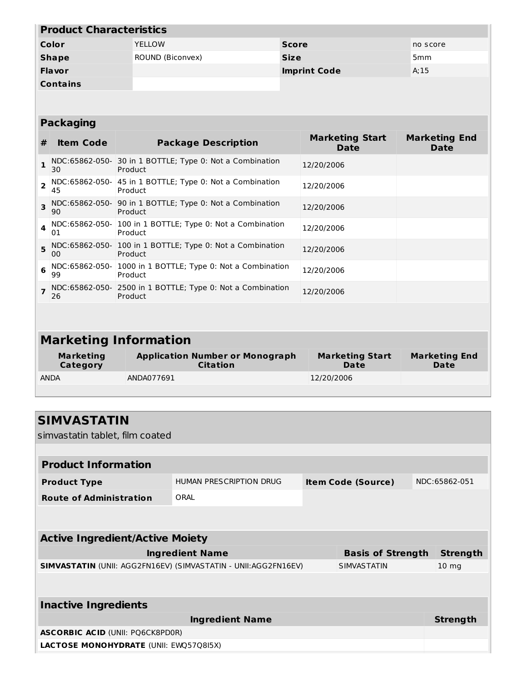| <b>Product Characteristics</b> |                  |                     |                 |  |  |  |  |
|--------------------------------|------------------|---------------------|-----------------|--|--|--|--|
| Color                          | <b>YELLOW</b>    | <b>Score</b>        | no score        |  |  |  |  |
| <b>Shape</b>                   | ROUND (Biconvex) | <b>Size</b>         | 5 <sub>mm</sub> |  |  |  |  |
| <b>Flavor</b>                  |                  | <b>Imprint Code</b> | A; 15           |  |  |  |  |
| <b>Contains</b>                |                  |                     |                 |  |  |  |  |

### **Packaging**

| #              | <b>Item Code</b>     | <b>Package Description</b>                                            | <b>Marketing Start</b><br><b>Date</b> | <b>Marketing End</b><br>Date |
|----------------|----------------------|-----------------------------------------------------------------------|---------------------------------------|------------------------------|
|                | NDC:65862-050-<br>30 | 30 in 1 BOTTLE; Type 0: Not a Combination<br>Product                  | 12/20/2006                            |                              |
| $\overline{2}$ | NDC:65862-050-<br>45 | 45 in 1 BOTTLE; Type 0: Not a Combination<br>Product                  | 12/20/2006                            |                              |
|                | NDC:65862-050-<br>90 | 90 in 1 BOTTLE; Type 0: Not a Combination<br>Product                  | 12/20/2006                            |                              |
| 4              | NDC:65862-050-<br>01 | 100 in 1 BOTTLE; Type 0: Not a Combination<br>Product                 | 12/20/2006                            |                              |
| 5              | 00                   | NDC:65862-050- 100 in 1 BOTTLE; Type 0: Not a Combination<br>Product  | 12/20/2006                            |                              |
| 6              | NDC:65862-050-<br>99 | 1000 in 1 BOTTLE; Type 0: Not a Combination<br>Product                | 12/20/2006                            |                              |
|                | 26                   | NDC:65862-050- 2500 in 1 BOTTLE; Type 0: Not a Combination<br>Product | 12/20/2006                            |                              |
|                |                      |                                                                       |                                       |                              |

#### **Marketing Information Marketing Category Application Number or Monograph Citation Marketing Start Date Marketing End Date** ANDA ANDA077691 12/20/2006

| <b>SIMVASTATIN</b>                                                    |                                |                           |                  |
|-----------------------------------------------------------------------|--------------------------------|---------------------------|------------------|
| simvastatin tablet, film coated                                       |                                |                           |                  |
|                                                                       |                                |                           |                  |
| <b>Product Information</b>                                            |                                |                           |                  |
| <b>Product Type</b>                                                   | <b>HUMAN PRESCRIPTION DRUG</b> | <b>Item Code (Source)</b> | NDC:65862-051    |
| <b>Route of Administration</b>                                        | ORAL                           |                           |                  |
|                                                                       |                                |                           |                  |
|                                                                       |                                |                           |                  |
| <b>Active Ingredient/Active Moiety</b>                                |                                |                           |                  |
|                                                                       | <b>Ingredient Name</b>         | <b>Basis of Strength</b>  | <b>Strength</b>  |
| <b>SIMVASTATIN (UNII: AGG2FN16EV) (SIMVASTATIN - UNII:AGG2FN16EV)</b> |                                | SIMVASTATIN               | 10 <sub>mg</sub> |
|                                                                       |                                |                           |                  |
|                                                                       |                                |                           |                  |
| <b>Inactive Ingredients</b>                                           |                                |                           |                  |
|                                                                       | <b>Ingredient Name</b>         |                           | <b>Strength</b>  |
| <b>ASCORBIC ACID (UNII: PQ6CK8PD0R)</b>                               |                                |                           |                  |
| <b>LACTOSE MONOHYDRATE (UNII: EWQ57Q8I5X)</b>                         |                                |                           |                  |
|                                                                       |                                |                           |                  |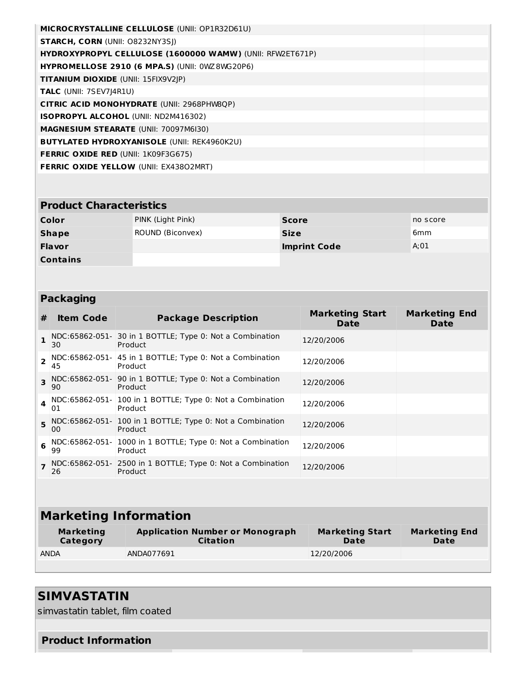| <b>MICROCRYSTALLINE CELLULOSE (UNII: OP1R32D61U)</b>             |  |
|------------------------------------------------------------------|--|
| <b>STARCH, CORN (UNII: 08232NY3SI)</b>                           |  |
| <b>HYDROXYPROPYL CELLULOSE (1600000 WAMW) (UNII: RFW2ET671P)</b> |  |
| <b>HYPROMELLOSE 2910 (6 MPA.S) (UNII: 0WZ8WG20P6)</b>            |  |
| <b>TITANIUM DIOXIDE</b> (UNII: 15FIX9V2IP)                       |  |
| <b>TALC</b> (UNII: 7SEV7 4R1U)                                   |  |
| <b>CITRIC ACID MONOHYDRATE (UNII: 2968PHW8QP)</b>                |  |
| <b>ISOPROPYL ALCOHOL (UNII: ND2M416302)</b>                      |  |
| <b>MAGNESIUM STEARATE (UNII: 70097M6I30)</b>                     |  |
| <b>BUTYLATED HYDROXYANISOLE (UNII: REK4960K2U)</b>               |  |
| <b>FERRIC OXIDE RED (UNII: 1K09F3G675)</b>                       |  |
| <b>FERRIC OXIDE YELLOW (UNII: EX43802MRT)</b>                    |  |
|                                                                  |  |

### **Product Characteristics**

| Color           | PINK (Light Pink) | <b>Score</b>        | no score        |
|-----------------|-------------------|---------------------|-----------------|
| <b>Shape</b>    | ROUND (Biconvex)  | <b>Size</b>         | 6 <sub>mm</sub> |
| <b>Flavor</b>   |                   | <b>Imprint Code</b> | A;01            |
| <b>Contains</b> |                   |                     |                 |

# **Packaging**

| #              | <b>Item Code</b> | <b>Package Description</b>                                                        | <b>Marketing Start</b><br>Date | <b>Marketing End</b><br><b>Date</b> |
|----------------|------------------|-----------------------------------------------------------------------------------|--------------------------------|-------------------------------------|
| $\mathbf{1}$   | 30               | NDC:65862-051- 30 in 1 BOTTLE; Type 0: Not a Combination<br>Product               | 12/20/2006                     |                                     |
| $\overline{2}$ | 45               | NDC:65862-051- 45 in 1 BOTTLE; Type 0: Not a Combination<br>Product               | 12/20/2006                     |                                     |
|                | 90               | $\frac{3}{2}$ NDC:65862-051- 90 in 1 BOTTLE; Type 0: Not a Combination<br>Product | 12/20/2006                     |                                     |
| $\Delta$       | 01               | NDC:65862-051- 100 in 1 BOTTLE; Type 0: Not a Combination<br>Product              | 12/20/2006                     |                                     |
|                | 00               | $5$ NDC:65862-051- 100 in 1 BOTTLE; Type 0: Not a Combination<br>Product          | 12/20/2006                     |                                     |
| 6              | 99               | NDC:65862-051- 1000 in 1 BOTTLE; Type 0: Not a Combination<br>Product             | 12/20/2006                     |                                     |
|                | 26               | NDC:65862-051- 2500 in 1 BOTTLE; Type 0: Not a Combination<br>Product             | 12/20/2006                     |                                     |

# **Marketing Information**

| Marketing   | <b>Application Number or Monograph</b> | <b>Marketing Start</b> | <b>Marketing End</b> |
|-------------|----------------------------------------|------------------------|----------------------|
| Category    | <b>Citation</b>                        | Date                   | Date                 |
| <b>ANDA</b> | ANDA077691                             | 12/20/2006             |                      |

# **SIMVASTATIN**

simvastatin tablet, film coated

### **Product Information**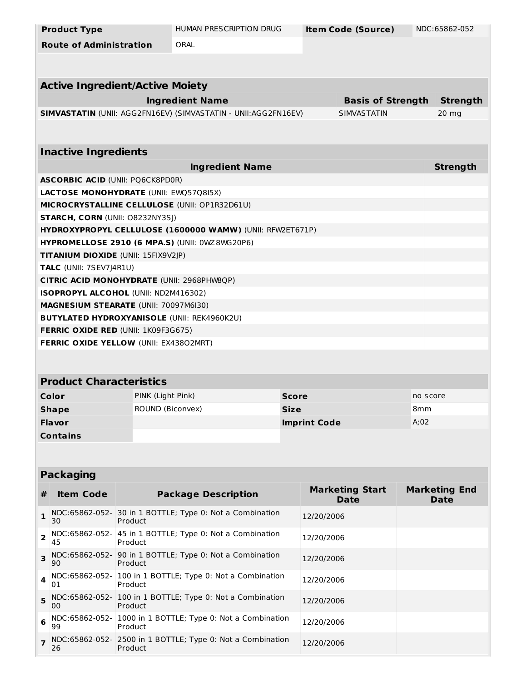|                                           | <b>Product Type</b>                                                      |                   | HUMAN PRESCRIPTION DRUG                                        |                                | <b>Item Code (Source)</b>             |          | NDC:65862-052                       |
|-------------------------------------------|--------------------------------------------------------------------------|-------------------|----------------------------------------------------------------|--------------------------------|---------------------------------------|----------|-------------------------------------|
|                                           | <b>Route of Administration</b>                                           |                   | ORAL                                                           |                                |                                       |          |                                     |
|                                           |                                                                          |                   |                                                                |                                |                                       |          |                                     |
|                                           | <b>Active Ingredient/Active Moiety</b>                                   |                   |                                                                |                                |                                       |          |                                     |
|                                           |                                                                          |                   | <b>Ingredient Name</b>                                         |                                | <b>Basis of Strength</b>              |          | <b>Strength</b>                     |
|                                           |                                                                          |                   | SIMVASTATIN (UNII: AGG2FN16EV) (SIMVASTATIN - UNII:AGG2FN16EV) |                                | <b>SIMVASTATIN</b>                    |          | $20$ mg                             |
|                                           |                                                                          |                   |                                                                |                                |                                       |          |                                     |
|                                           | <b>Inactive Ingredients</b>                                              |                   |                                                                |                                |                                       |          |                                     |
| <b>Ingredient Name</b><br><b>Strength</b> |                                                                          |                   |                                                                |                                |                                       |          |                                     |
|                                           | <b>ASCORBIC ACID (UNII: PQ6CK8PD0R)</b>                                  |                   |                                                                |                                |                                       |          |                                     |
|                                           | LACTOSE MONOHYDRATE (UNII: EWQ57Q8I5X)                                   |                   |                                                                |                                |                                       |          |                                     |
|                                           |                                                                          |                   | MICROCRYSTALLINE CELLULOSE (UNII: OP1R32D61U)                  |                                |                                       |          |                                     |
|                                           | <b>STARCH, CORN (UNII: O8232NY3SJ)</b>                                   |                   |                                                                |                                |                                       |          |                                     |
|                                           |                                                                          |                   | HYDROXYPROPYL CELLULOSE (1600000 WAMW) (UNII: RFW2ET671P)      |                                |                                       |          |                                     |
|                                           |                                                                          |                   | HYPROMELLOSE 2910 (6 MPA.S) (UNII: 0WZ8WG20P6)                 |                                |                                       |          |                                     |
|                                           | <b>TITANIUM DIOXIDE (UNII: 15FIX9V2JP)</b>                               |                   |                                                                |                                |                                       |          |                                     |
|                                           | TALC (UNII: 7SEV7J4R1U)                                                  |                   |                                                                |                                |                                       |          |                                     |
|                                           | <b>CITRIC ACID MONOHYDRATE (UNII: 2968PHW8QP)</b>                        |                   |                                                                |                                |                                       |          |                                     |
|                                           | ISOPROPYL ALCOHOL (UNII: ND2M416302)                                     |                   |                                                                |                                |                                       |          |                                     |
|                                           | MAGNESIUM STEARATE (UNII: 70097M6I30)                                    |                   |                                                                |                                |                                       |          |                                     |
|                                           |                                                                          |                   | <b>BUTYLATED HYDROXYANISOLE (UNII: REK4960K2U)</b>             |                                |                                       |          |                                     |
|                                           | FERRIC OXIDE RED (UNII: 1K09F3G675)                                      |                   |                                                                |                                |                                       |          |                                     |
|                                           | <b>FERRIC OXIDE YELLOW (UNII: EX43802MRT)</b>                            |                   |                                                                |                                |                                       |          |                                     |
|                                           |                                                                          |                   |                                                                |                                |                                       |          |                                     |
|                                           | <b>Product Characteristics</b>                                           |                   |                                                                |                                |                                       |          |                                     |
|                                           | Color                                                                    | PINK (Light Pink) |                                                                | <b>Score</b>                   |                                       | no score |                                     |
|                                           | Shape                                                                    | ROUND (Biconvex)  |                                                                | <b>Size</b><br>8 <sub>mm</sub> |                                       |          |                                     |
|                                           | <b>Flavor</b>                                                            |                   |                                                                |                                | <b>Imprint Code</b>                   | A;02     |                                     |
|                                           | <b>Contains</b>                                                          |                   |                                                                |                                |                                       |          |                                     |
|                                           |                                                                          |                   |                                                                |                                |                                       |          |                                     |
|                                           |                                                                          |                   |                                                                |                                |                                       |          |                                     |
|                                           | <b>Packaging</b>                                                         |                   |                                                                |                                |                                       |          |                                     |
| #                                         | <b>Item Code</b>                                                         |                   | <b>Package Description</b>                                     |                                | <b>Marketing Start</b><br><b>Date</b> |          | <b>Marketing End</b><br><b>Date</b> |
| 1                                         | NDC:65862-052-<br>30                                                     | Product           | 30 in 1 BOTTLE; Type 0: Not a Combination                      |                                | 12/20/2006                            |          |                                     |
| 2                                         | NDC:65862-052-<br>45                                                     | Product           | 45 in 1 BOTTLE; Type 0: Not a Combination                      |                                | 12/20/2006                            |          |                                     |
| 3                                         | NDC:65862-052-<br>90                                                     | Product           | 90 in 1 BOTTLE; Type 0: Not a Combination                      |                                | 12/20/2006                            |          |                                     |
| 4                                         | NDC:65862-052-<br>01                                                     | Product           | 100 in 1 BOTTLE; Type 0: Not a Combination                     |                                | 12/20/2006                            |          |                                     |
| 5                                         | 00                                                                       | Product           | NDC:65862-052- 100 in 1 BOTTLE; Type 0: Not a Combination      |                                | 12/20/2006                            |          |                                     |
| 6                                         | NDC:65862-052-<br>99                                                     | Product           | 1000 in 1 BOTTLE; Type 0: Not a Combination                    |                                | 12/20/2006                            |          |                                     |
|                                           | NDC:65862-052- 2500 in 1 BOTTLE; Type 0: Not a Combination<br>12/20/2006 |                   |                                                                |                                |                                       |          |                                     |
| $\overline{7}$                            | 26                                                                       | Product           |                                                                |                                |                                       |          |                                     |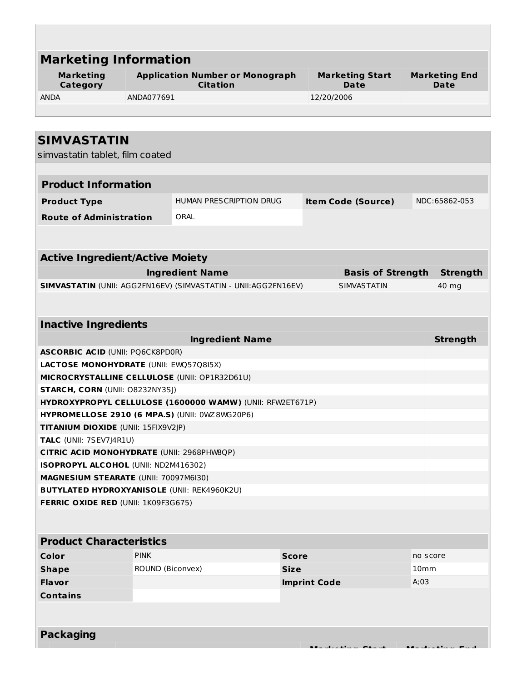| <b>Marketing Information</b>                       |                                                           |                                                                |              |                                |                           |                  |                              |  |
|----------------------------------------------------|-----------------------------------------------------------|----------------------------------------------------------------|--------------|--------------------------------|---------------------------|------------------|------------------------------|--|
| <b>Marketing</b><br>Category                       | <b>Application Number or Monograph</b><br><b>Citation</b> |                                                                |              | <b>Marketing Start</b><br>Date |                           |                  | <b>Marketing End</b><br>Date |  |
| <b>ANDA</b>                                        | ANDA077691                                                |                                                                |              | 12/20/2006                     |                           |                  |                              |  |
|                                                    |                                                           |                                                                |              |                                |                           |                  |                              |  |
| <b>SIMVASTATIN</b>                                 |                                                           |                                                                |              |                                |                           |                  |                              |  |
| simvastatin tablet, film coated                    |                                                           |                                                                |              |                                |                           |                  |                              |  |
|                                                    |                                                           |                                                                |              |                                |                           |                  |                              |  |
| <b>Product Information</b>                         |                                                           |                                                                |              |                                |                           |                  |                              |  |
| <b>Product Type</b>                                |                                                           | HUMAN PRESCRIPTION DRUG                                        |              |                                | <b>Item Code (Source)</b> |                  | NDC:65862-053                |  |
|                                                    |                                                           |                                                                |              |                                |                           |                  |                              |  |
| <b>Route of Administration</b>                     |                                                           | ORAL                                                           |              |                                |                           |                  |                              |  |
|                                                    |                                                           |                                                                |              |                                |                           |                  |                              |  |
| <b>Active Ingredient/Active Moiety</b>             |                                                           |                                                                |              |                                |                           |                  |                              |  |
|                                                    |                                                           | <b>Ingredient Name</b>                                         |              |                                | <b>Basis of Strength</b>  |                  | <b>Strength</b>              |  |
|                                                    |                                                           | SIMVASTATIN (UNII: AGG2FN16EV) (SIMVASTATIN - UNII:AGG2FN16EV) |              |                                | <b>SIMVASTATIN</b>        |                  | 40 mg                        |  |
|                                                    |                                                           |                                                                |              |                                |                           |                  |                              |  |
|                                                    |                                                           |                                                                |              |                                |                           |                  |                              |  |
| <b>Inactive Ingredients</b>                        |                                                           |                                                                |              |                                |                           |                  |                              |  |
| <b>ASCORBIC ACID (UNII: PQ6CK8PD0R)</b>            |                                                           | <b>Ingredient Name</b>                                         |              |                                |                           |                  | <b>Strength</b>              |  |
| LACTOSE MONOHYDRATE (UNII: EWQ57Q8I5X)             |                                                           |                                                                |              |                                |                           |                  |                              |  |
| MICROCRYSTALLINE CELLULOSE (UNII: OP1R32D61U)      |                                                           |                                                                |              |                                |                           |                  |                              |  |
| <b>STARCH, CORN (UNII: O8232NY3SJ)</b>             |                                                           |                                                                |              |                                |                           |                  |                              |  |
|                                                    |                                                           | HYDROXYPROPYL CELLULOSE (1600000 WAMW) (UNII: RFW2ET671P)      |              |                                |                           |                  |                              |  |
| HYPROMELLOSE 2910 (6 MPA.S) (UNII: 0WZ 8WG20P6)    |                                                           |                                                                |              |                                |                           |                  |                              |  |
| TITANIUM DIOXIDE (UNII: 15FIX9V2JP)                |                                                           |                                                                |              |                                |                           |                  |                              |  |
| TALC (UNII: 7SEV7J4R1U)                            |                                                           |                                                                |              |                                |                           |                  |                              |  |
| <b>CITRIC ACID MONOHYDRATE (UNII: 2968PHW8QP)</b>  |                                                           |                                                                |              |                                |                           |                  |                              |  |
| ISOPROPYL ALCOHOL (UNII: ND2M416302)               |                                                           |                                                                |              |                                |                           |                  |                              |  |
| MAGNESIUM STEARATE (UNII: 70097M6I30)              |                                                           |                                                                |              |                                |                           |                  |                              |  |
| <b>BUTYLATED HYDROXYANISOLE (UNII: REK4960K2U)</b> |                                                           |                                                                |              |                                |                           |                  |                              |  |
| <b>FERRIC OXIDE RED (UNII: 1K09F3G675)</b>         |                                                           |                                                                |              |                                |                           |                  |                              |  |
|                                                    |                                                           |                                                                |              |                                |                           |                  |                              |  |
| <b>Product Characteristics</b>                     |                                                           |                                                                |              |                                |                           |                  |                              |  |
| Color                                              | <b>PINK</b>                                               |                                                                | <b>Score</b> |                                |                           | no score         |                              |  |
| <b>Shape</b>                                       | ROUND (Biconvex)                                          |                                                                | <b>Size</b>  |                                |                           | 10 <sub>mm</sub> |                              |  |
| <b>Flavor</b>                                      |                                                           |                                                                |              | <b>Imprint Code</b>            |                           | A;03             |                              |  |
| <b>Contains</b>                                    |                                                           |                                                                |              |                                |                           |                  |                              |  |
|                                                    |                                                           |                                                                |              |                                |                           |                  |                              |  |
|                                                    |                                                           |                                                                |              |                                |                           |                  |                              |  |
| <b>Packaging</b>                                   |                                                           |                                                                |              |                                |                           |                  |                              |  |
|                                                    |                                                           |                                                                |              |                                |                           |                  |                              |  |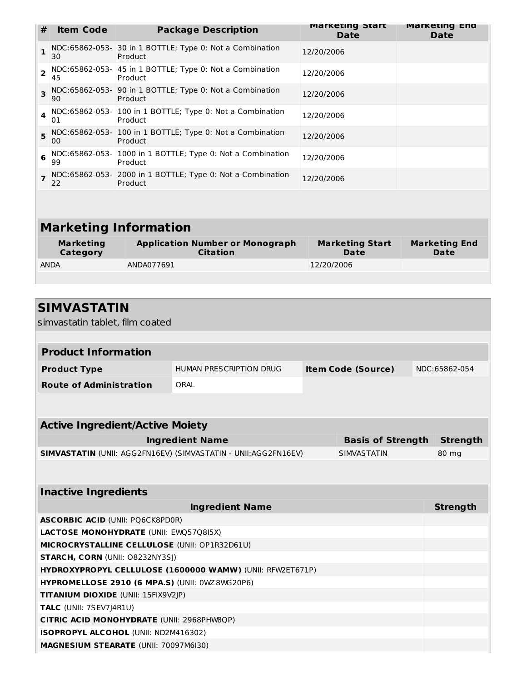| #              | <b>Item Code</b>             | <b>Package Description</b>                                            | <b>Marketing Start</b><br><b>Date</b> | <b>Marketing End</b><br><b>Date</b> |  |  |
|----------------|------------------------------|-----------------------------------------------------------------------|---------------------------------------|-------------------------------------|--|--|
| 1              | 30                           | NDC:65862-053- 30 in 1 BOTTLE; Type 0: Not a Combination<br>Product   | 12/20/2006                            |                                     |  |  |
| $\overline{2}$ | 45                           | NDC:65862-053- 45 in 1 BOTTLE; Type 0: Not a Combination<br>Product   | 12/20/2006                            |                                     |  |  |
| 3              | 90                           | NDC:65862-053- 90 in 1 BOTTLE; Type 0: Not a Combination<br>Product   | 12/20/2006                            |                                     |  |  |
| 4              | 01                           | NDC:65862-053- 100 in 1 BOTTLE; Type 0: Not a Combination<br>Product  | 12/20/2006                            |                                     |  |  |
| 5              | 00                           | NDC:65862-053- 100 in 1 BOTTLE; Type 0: Not a Combination<br>Product  | 12/20/2006                            |                                     |  |  |
| 6              | 99                           | NDC:65862-053- 1000 in 1 BOTTLE; Type 0: Not a Combination<br>Product | 12/20/2006                            |                                     |  |  |
|                | 22                           | NDC:65862-053- 2000 in 1 BOTTLE; Type 0: Not a Combination<br>Product | 12/20/2006                            |                                     |  |  |
|                |                              |                                                                       |                                       |                                     |  |  |
|                | <b>Marketing Information</b> |                                                                       |                                       |                                     |  |  |
|                | <b>Marketing</b><br>Category | <b>Application Number or Monograph</b><br><b>Citation</b>             | <b>Marketing Start</b><br><b>Date</b> | <b>Marketing End</b><br><b>Date</b> |  |  |
|                | <b>ANDA</b>                  | ANDA077691                                                            | 12/20/2006                            |                                     |  |  |
|                |                              |                                                                       |                                       |                                     |  |  |

| simvastatin tablet, film coated              |                                                                                                                                                                                                               |                                                                                                                             |                           |                          |  |
|----------------------------------------------|---------------------------------------------------------------------------------------------------------------------------------------------------------------------------------------------------------------|-----------------------------------------------------------------------------------------------------------------------------|---------------------------|--------------------------|--|
|                                              |                                                                                                                                                                                                               |                                                                                                                             |                           |                          |  |
|                                              |                                                                                                                                                                                                               |                                                                                                                             |                           |                          |  |
| HUMAN PRESCRIPTION DRUG                      |                                                                                                                                                                                                               |                                                                                                                             |                           | NDC:65862-054            |  |
| ORAL                                         |                                                                                                                                                                                                               |                                                                                                                             |                           |                          |  |
|                                              |                                                                                                                                                                                                               |                                                                                                                             |                           |                          |  |
|                                              |                                                                                                                                                                                                               |                                                                                                                             |                           |                          |  |
| <b>Active Ingredient/Active Moiety</b>       |                                                                                                                                                                                                               |                                                                                                                             |                           |                          |  |
| <b>Ingredient Name</b>                       |                                                                                                                                                                                                               |                                                                                                                             |                           | <b>Strength</b>          |  |
|                                              |                                                                                                                                                                                                               | <b>SIMVASTATIN</b>                                                                                                          |                           | 80 mg                    |  |
|                                              |                                                                                                                                                                                                               |                                                                                                                             |                           |                          |  |
|                                              |                                                                                                                                                                                                               |                                                                                                                             |                           |                          |  |
|                                              |                                                                                                                                                                                                               |                                                                                                                             |                           |                          |  |
|                                              |                                                                                                                                                                                                               |                                                                                                                             |                           | <b>Strength</b>          |  |
| <b>ASCORBIC ACID (UNII: PQ6CK8PD0R)</b>      |                                                                                                                                                                                                               |                                                                                                                             |                           |                          |  |
|                                              |                                                                                                                                                                                                               |                                                                                                                             |                           |                          |  |
|                                              |                                                                                                                                                                                                               |                                                                                                                             |                           |                          |  |
|                                              |                                                                                                                                                                                                               |                                                                                                                             |                           |                          |  |
|                                              |                                                                                                                                                                                                               |                                                                                                                             |                           |                          |  |
| TITANIUM DIOXIDE (UNII: 15FIX9V2JP)          |                                                                                                                                                                                                               |                                                                                                                             |                           |                          |  |
| TALC (UNII: 7SEV7J4R1U)                      |                                                                                                                                                                                                               |                                                                                                                             |                           |                          |  |
| CITRIC ACID MONOHYDRATE (UNII: 2968PHW8QP)   |                                                                                                                                                                                                               |                                                                                                                             |                           |                          |  |
| ISOPROPYL ALCOHOL (UNII: ND2M416302)         |                                                                                                                                                                                                               |                                                                                                                             |                           |                          |  |
| <b>MAGNESIUM STEARATE (UNII: 70097M6I30)</b> |                                                                                                                                                                                                               |                                                                                                                             |                           |                          |  |
|                                              | <b>Ingredient Name</b><br><b>LACTOSE MONOHYDRATE (UNII: EWQ57Q8I5X)</b><br>MICROCRYSTALLINE CELLULOSE (UNII: OP1R32D61U)<br>STARCH, CORN (UNII: 08232NY3SJ)<br>HYPROMELLOSE 2910 (6 MPA.S) (UNII: 0WZ8WG20P6) | SIMVASTATIN (UNII: AGG2FN16EV) (SIMVASTATIN - UNII:AGG2FN16EV)<br>HYDROXYPROPYL CELLULOSE (1600000 WAMW) (UNII: RFW2ET671P) | <b>Item Code (Source)</b> | <b>Basis of Strength</b> |  |